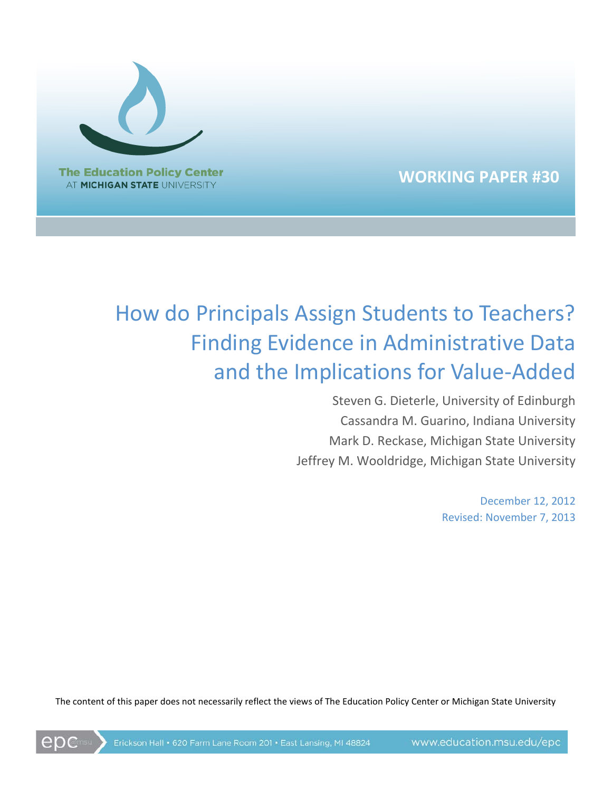

**WORKING PAPER #30**

# How do Principals Assign Students to Teachers? Finding Evidence in Administrative Data and the Implications for Value-Added

Steven G. Dieterle, University of Edinburgh Cassandra M. Guarino, Indiana University Mark D. Reckase, Michigan State University Jeffrey M. Wooldridge, Michigan State University

> December 12, 2012 Revised: November 7, 2013

The content of this paper does not necessarily reflect the views of The Education Policy Center or Michigan State University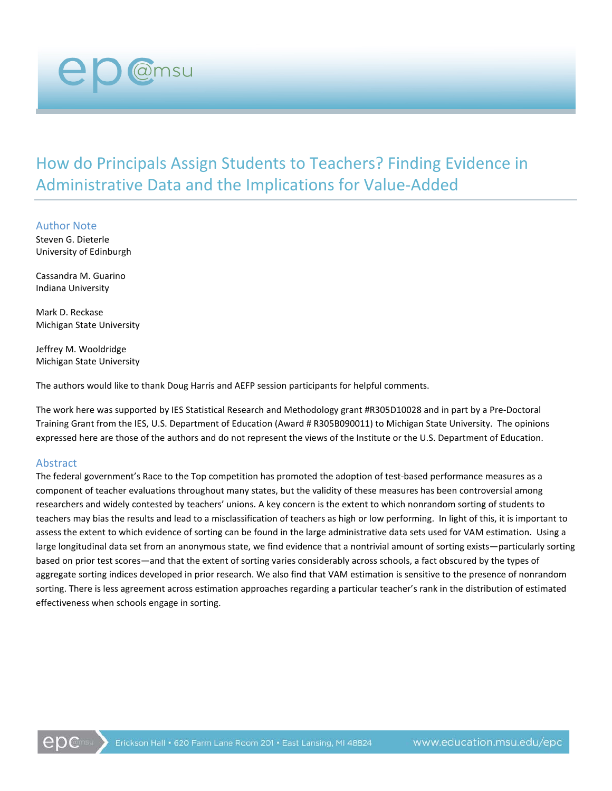How do Principals Assign Students to Teachers? Finding Evidence in Administrative Data and the Implications for Value-Added

Author Note Steven G. Dieterle University of Edinburgh

@msu

Cassandra M. Guarino Indiana University

Mark D. Reckase Michigan State University

Jeffrey M. Wooldridge Michigan State University

The authors would like to thank Doug Harris and AEFP session participants for helpful comments.

The work here was supported by IES Statistical Research and Methodology grant #R305D10028 and in part by a Pre-Doctoral Training Grant from the IES, U.S. Department of Education (Award # R305B090011) to Michigan State University. The opinions expressed here are those of the authors and do not represent the views of the Institute or the U.S. Department of Education.

#### Abstract

The federal government's Race to the Top competition has promoted the adoption of test-based performance measures as a component of teacher evaluations throughout many states, but the validity of these measures has been controversial among researchers and widely contested by teachers' unions. A key concern is the extent to which nonrandom sorting of students to teachers may bias the results and lead to a misclassification of teachers as high or low performing. In light of this, it is important to assess the extent to which evidence of sorting can be found in the large administrative data sets used for VAM estimation. Using a large longitudinal data set from an anonymous state, we find evidence that a nontrivial amount of sorting exists—particularly sorting based on prior test scores—and that the extent of sorting varies considerably across schools, a fact obscured by the types of aggregate sorting indices developed in prior research. We also find that VAM estimation is sensitive to the presence of nonrandom sorting. There is less agreement across estimation approaches regarding a particular teacher's rank in the distribution of estimated effectiveness when schools engage in sorting.

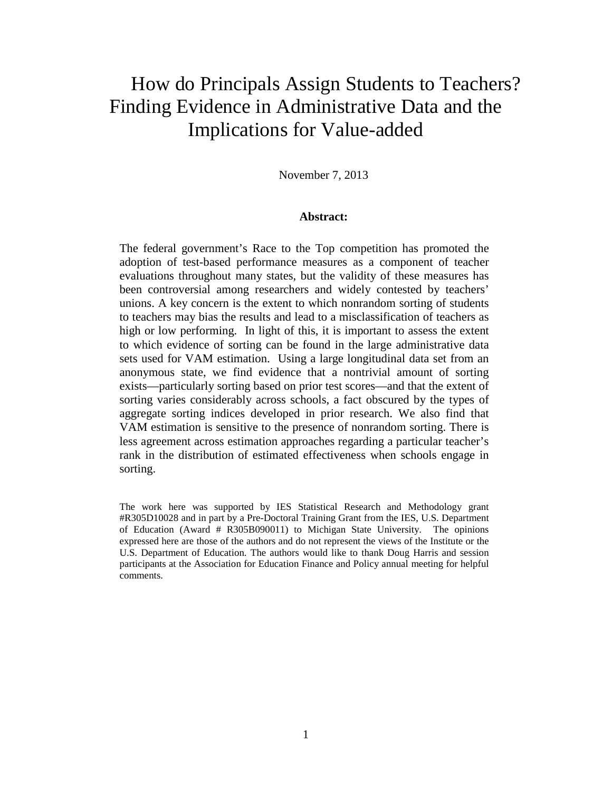# How do Principals Assign Students to Teachers? Finding Evidence in Administrative Data and the Implications for Value-added

November 7, 2013

#### **Abstract:**

The federal government's Race to the Top competition has promoted the adoption of test-based performance measures as a component of teacher evaluations throughout many states, but the validity of these measures has been controversial among researchers and widely contested by teachers' unions. A key concern is the extent to which nonrandom sorting of students to teachers may bias the results and lead to a misclassification of teachers as high or low performing. In light of this, it is important to assess the extent to which evidence of sorting can be found in the large administrative data sets used for VAM estimation. Using a large longitudinal data set from an anonymous state, we find evidence that a nontrivial amount of sorting exists—particularly sorting based on prior test scores—and that the extent of sorting varies considerably across schools, a fact obscured by the types of aggregate sorting indices developed in prior research. We also find that VAM estimation is sensitive to the presence of nonrandom sorting. There is less agreement across estimation approaches regarding a particular teacher's rank in the distribution of estimated effectiveness when schools engage in sorting.

The work here was supported by IES Statistical Research and Methodology grant #R305D10028 and in part by a Pre-Doctoral Training Grant from the IES, U.S. Department of Education (Award # R305B090011) to Michigan State University. The opinions expressed here are those of the authors and do not represent the views of the Institute or the U.S. Department of Education. The authors would like to thank Doug Harris and session participants at the Association for Education Finance and Policy annual meeting for helpful comments.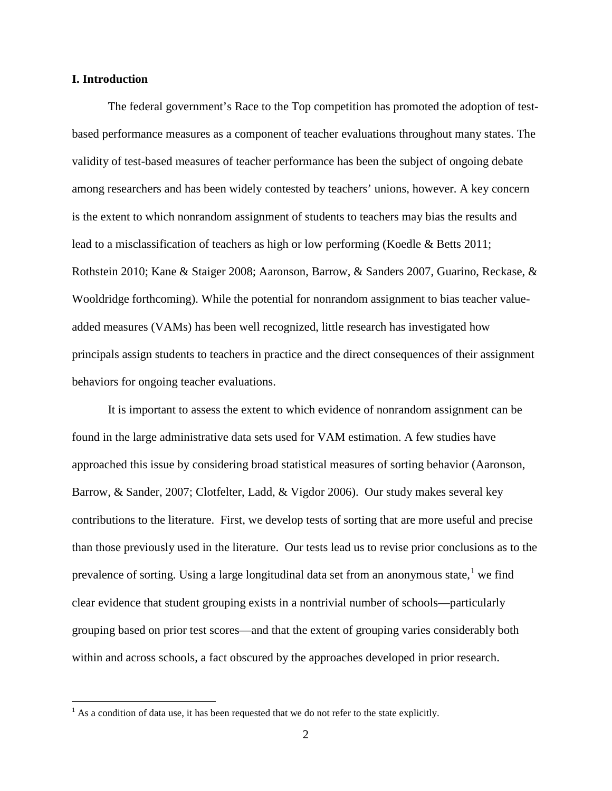#### **I. Introduction**

The federal government's Race to the Top competition has promoted the adoption of testbased performance measures as a component of teacher evaluations throughout many states. The validity of test-based measures of teacher performance has been the subject of ongoing debate among researchers and has been widely contested by teachers' unions, however. A key concern is the extent to which nonrandom assignment of students to teachers may bias the results and lead to a misclassification of teachers as high or low performing (Koedle & Betts 2011; Rothstein 2010; Kane & Staiger 2008; Aaronson, Barrow, & Sanders 2007, Guarino, Reckase, & Wooldridge forthcoming). While the potential for nonrandom assignment to bias teacher valueadded measures (VAMs) has been well recognized, little research has investigated how principals assign students to teachers in practice and the direct consequences of their assignment behaviors for ongoing teacher evaluations.

It is important to assess the extent to which evidence of nonrandom assignment can be found in the large administrative data sets used for VAM estimation. A few studies have approached this issue by considering broad statistical measures of sorting behavior (Aaronson, Barrow, & Sander, 2007; Clotfelter, Ladd, & Vigdor 2006). Our study makes several key contributions to the literature. First, we develop tests of sorting that are more useful and precise than those previously used in the literature. Our tests lead us to revise prior conclusions as to the prevalence of sorting. Using a large longitudinal data set from an anonymous state,<sup>[1](#page-3-0)</sup> we find clear evidence that student grouping exists in a nontrivial number of schools—particularly grouping based on prior test scores—and that the extent of grouping varies considerably both within and across schools, a fact obscured by the approaches developed in prior research.

<span id="page-3-0"></span> $<sup>1</sup>$  As a condition of data use, it has been requested that we do not refer to the state explicitly.</sup>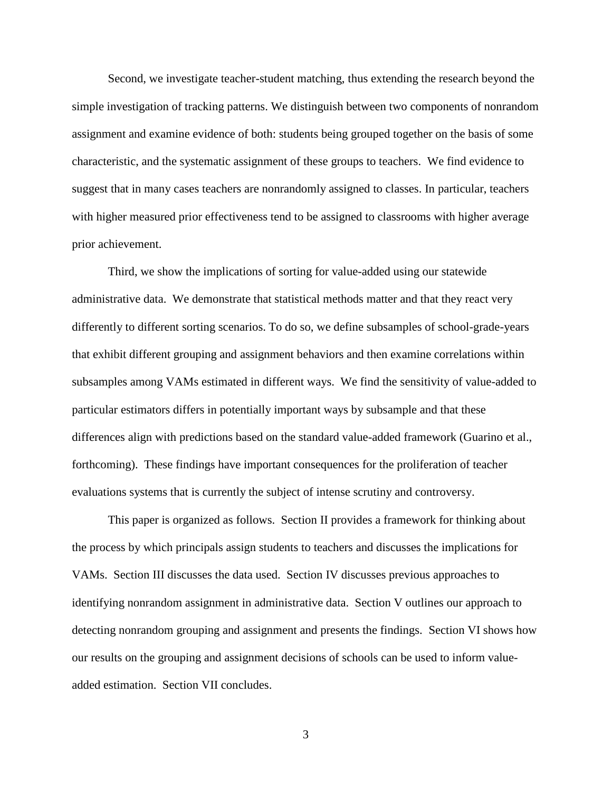Second, we investigate teacher-student matching, thus extending the research beyond the simple investigation of tracking patterns. We distinguish between two components of nonrandom assignment and examine evidence of both: students being grouped together on the basis of some characteristic, and the systematic assignment of these groups to teachers. We find evidence to suggest that in many cases teachers are nonrandomly assigned to classes. In particular, teachers with higher measured prior effectiveness tend to be assigned to classrooms with higher average prior achievement.

Third, we show the implications of sorting for value-added using our statewide administrative data. We demonstrate that statistical methods matter and that they react very differently to different sorting scenarios. To do so, we define subsamples of school-grade-years that exhibit different grouping and assignment behaviors and then examine correlations within subsamples among VAMs estimated in different ways. We find the sensitivity of value-added to particular estimators differs in potentially important ways by subsample and that these differences align with predictions based on the standard value-added framework (Guarino et al., forthcoming). These findings have important consequences for the proliferation of teacher evaluations systems that is currently the subject of intense scrutiny and controversy.

This paper is organized as follows. Section II provides a framework for thinking about the process by which principals assign students to teachers and discusses the implications for VAMs. Section III discusses the data used. Section IV discusses previous approaches to identifying nonrandom assignment in administrative data. Section V outlines our approach to detecting nonrandom grouping and assignment and presents the findings. Section VI shows how our results on the grouping and assignment decisions of schools can be used to inform valueadded estimation. Section VII concludes.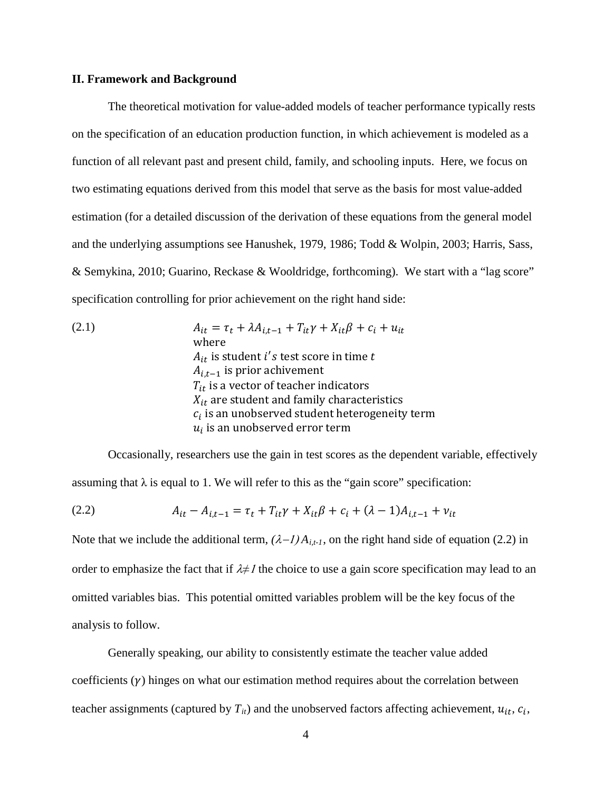#### **II. Framework and Background**

The theoretical motivation for value-added models of teacher performance typically rests on the specification of an education production function, in which achievement is modeled as a function of all relevant past and present child, family, and schooling inputs. Here, we focus on two estimating equations derived from this model that serve as the basis for most value-added estimation (for a detailed discussion of the derivation of these equations from the general model and the underlying assumptions see Hanushek, 1979, 1986; Todd & Wolpin, 2003; Harris, Sass, & Semykina, 2010; Guarino, Reckase & Wooldridge, forthcoming). We start with a "lag score" specification controlling for prior achievement on the right hand side:

(2.1) 
$$
A_{it} = \tau_t + \lambda A_{i,t-1} + T_{it}\gamma + X_{it}\beta + c_i + u_{it}
$$
  
where  

$$
A_{it}
$$
 is student *i*'s test score in time *t*  

$$
A_{i,t-1}
$$
 is prior achievement  

$$
T_{it}
$$
 is a vector of teacher indicators  

$$
X_{it}
$$
 are student and family characteristics  

$$
c_i
$$
 is an unobserved student heterogeneity term  

$$
u_i
$$
 is an unobserved error term

Occasionally, researchers use the gain in test scores as the dependent variable, effectively assuming that  $\lambda$  is equal to 1. We will refer to this as the "gain score" specification:

(2.2) 
$$
A_{it} - A_{i,t-1} = \tau_t + T_{it}\gamma + X_{it}\beta + c_i + (\lambda - 1)A_{i,t-1} + \nu_{it}
$$

Note that we include the additional term,  $(\lambda - 1)A_{i,t-1}$ , on the right hand side of equation (2.2) in order to emphasize the fact that if λ*≠*<sup>1</sup> the choice to use a gain score specification may lead to an omitted variables bias. This potential omitted variables problem will be the key focus of the analysis to follow.

Generally speaking, our ability to consistently estimate the teacher value added coefficients  $(y)$  hinges on what our estimation method requires about the correlation between teacher assignments (captured by  $T_{it}$ ) and the unobserved factors affecting achievement,  $u_{it}$ ,  $c_i$ ,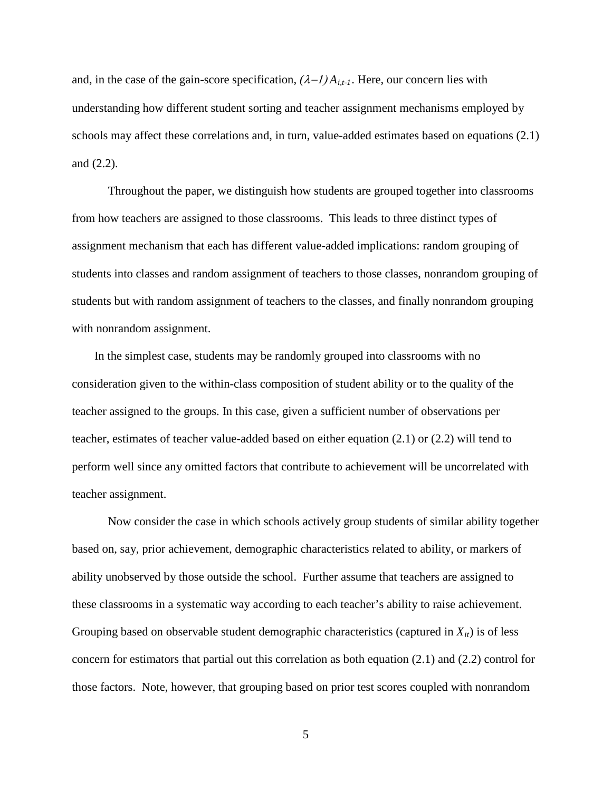and, in the case of the gain-score specification,  $(\lambda - I) A_{i,t-1}$ . Here, our concern lies with understanding how different student sorting and teacher assignment mechanisms employed by schools may affect these correlations and, in turn, value-added estimates based on equations (2.1) and (2.2).

Throughout the paper, we distinguish how students are grouped together into classrooms from how teachers are assigned to those classrooms. This leads to three distinct types of assignment mechanism that each has different value-added implications: random grouping of students into classes and random assignment of teachers to those classes, nonrandom grouping of students but with random assignment of teachers to the classes, and finally nonrandom grouping with nonrandom assignment.

In the simplest case, students may be randomly grouped into classrooms with no consideration given to the within-class composition of student ability or to the quality of the teacher assigned to the groups. In this case, given a sufficient number of observations per teacher, estimates of teacher value-added based on either equation (2.1) or (2.2) will tend to perform well since any omitted factors that contribute to achievement will be uncorrelated with teacher assignment.

Now consider the case in which schools actively group students of similar ability together based on, say, prior achievement, demographic characteristics related to ability, or markers of ability unobserved by those outside the school. Further assume that teachers are assigned to these classrooms in a systematic way according to each teacher's ability to raise achievement. Grouping based on observable student demographic characteristics (captured in  $X_{it}$ ) is of less concern for estimators that partial out this correlation as both equation (2.1) and (2.2) control for those factors. Note, however, that grouping based on prior test scores coupled with nonrandom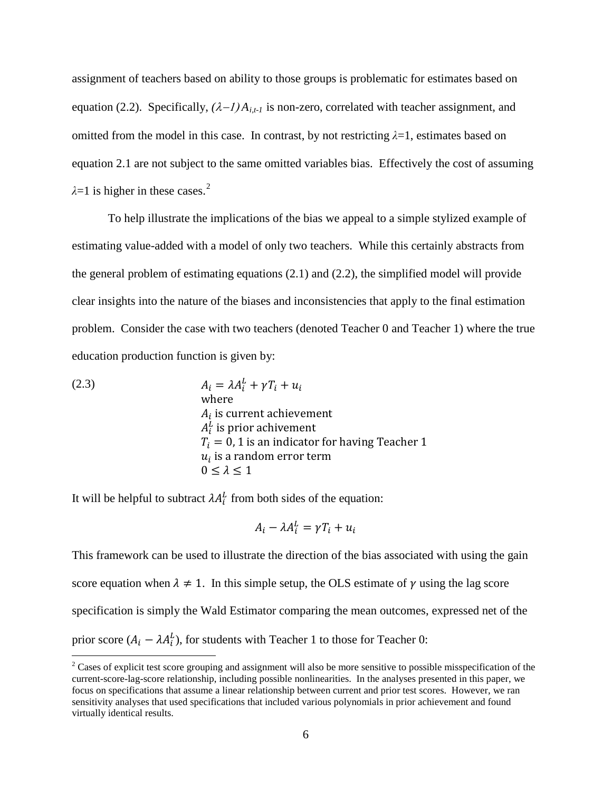assignment of teachers based on ability to those groups is problematic for estimates based on equation (2.2). Specifically,  $(\lambda - 1)A_{i,t-1}$  is non-zero, correlated with teacher assignment, and omitted from the model in this case. In contrast, by not restricting  $\lambda = 1$ , estimates based on equation 2.1 are not subject to the same omitted variables bias. Effectively the cost of assuming  $\lambda$ =1 is higher in these cases.<sup>[2](#page-7-0)</sup>

To help illustrate the implications of the bias we appeal to a simple stylized example of estimating value-added with a model of only two teachers. While this certainly abstracts from the general problem of estimating equations (2.1) and (2.2), the simplified model will provide clear insights into the nature of the biases and inconsistencies that apply to the final estimation problem. Consider the case with two teachers (denoted Teacher 0 and Teacher 1) where the true education production function is given by:

(2.3) 
$$
A_i = \lambda A_i^L + \gamma T_i + u_i
$$
where  
\n
$$
A_i
$$
 is current achievement  
\n
$$
A_i^L
$$
 is prior achievement  
\n
$$
T_i = 0, 1
$$
 is an indicator for having Teacher 1  
\n
$$
u_i
$$
 is a random error term  
\n
$$
0 \le \lambda \le 1
$$

It will be helpful to subtract  $\lambda A_i^L$  from both sides of the equation:

$$
A_i - \lambda A_i^L = \gamma T_i + u_i
$$

This framework can be used to illustrate the direction of the bias associated with using the gain score equation when  $\lambda \neq 1$ . In this simple setup, the OLS estimate of  $\gamma$  using the lag score specification is simply the Wald Estimator comparing the mean outcomes, expressed net of the prior score  $(A_i - \lambda A_i^L)$ , for students with Teacher 1 to those for Teacher 0:

<span id="page-7-0"></span><sup>&</sup>lt;sup>2</sup> Cases of explicit test score grouping and assignment will also be more sensitive to possible misspecification of the current-score-lag-score relationship, including possible nonlinearities. In the analyses presented in this paper, we focus on specifications that assume a linear relationship between current and prior test scores. However, we ran sensitivity analyses that used specifications that included various polynomials in prior achievement and found virtually identical results.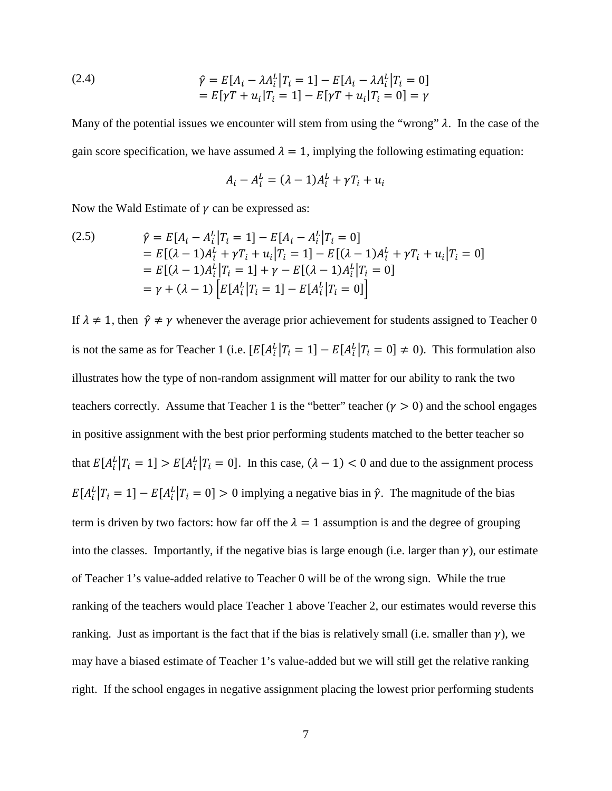(2.4) 
$$
\hat{\gamma} = E[A_i - \lambda A_i^L | T_i = 1] - E[A_i - \lambda A_i^L | T_i = 0] \n= E[\gamma T + u_i | T_i = 1] - E[\gamma T + u_i | T_i = 0] = \gamma
$$

Many of the potential issues we encounter will stem from using the "wrong"  $\lambda$ . In the case of the gain score specification, we have assumed  $\lambda = 1$ , implying the following estimating equation:

$$
A_i - A_i^L = (\lambda - 1)A_i^L + \gamma T_i + u_i
$$

Now the Wald Estimate of  $\gamma$  can be expressed as:

(2.5) 
$$
\hat{\gamma} = E[A_i - A_i^L | T_i = 1] - E[A_i - A_i^L | T_i = 0]
$$

$$
= E[(\lambda - 1)A_i^L + \gamma T_i + u_i | T_i = 1] - E[(\lambda - 1)A_i^L + \gamma T_i + u_i | T_i = 0]
$$

$$
= E[(\lambda - 1)A_i^L | T_i = 1] + \gamma - E[(\lambda - 1)A_i^L | T_i = 0]
$$

$$
= \gamma + (\lambda - 1) \left[ E[A_i^L | T_i = 1] - E[A_i^L | T_i = 0] \right]
$$

If  $\lambda \neq 1$ , then  $\hat{\gamma} \neq \gamma$  whenever the average prior achievement for students assigned to Teacher 0 is not the same as for Teacher 1 (i.e.  $[E[A_i^L | T_i = 1] - E[A_i^L | T_i = 0] \neq 0$ ). This formulation also illustrates how the type of non-random assignment will matter for our ability to rank the two teachers correctly. Assume that Teacher 1 is the "better" teacher  $(y > 0)$  and the school engages in positive assignment with the best prior performing students matched to the better teacher so that  $E[A_i^L | T_i = 1] > E[A_i^L | T_i = 0]$ . In this case,  $(\lambda - 1) < 0$  and due to the assignment process  $E[A_i^L | T_i = 1] - E[A_i^L | T_i = 0] > 0$  implying a negative bias in  $\hat{\gamma}$ . The magnitude of the bias term is driven by two factors: how far off the  $\lambda = 1$  assumption is and the degree of grouping into the classes. Importantly, if the negative bias is large enough (i.e. larger than  $\gamma$ ), our estimate of Teacher 1's value-added relative to Teacher 0 will be of the wrong sign. While the true ranking of the teachers would place Teacher 1 above Teacher 2, our estimates would reverse this ranking. Just as important is the fact that if the bias is relatively small (i.e. smaller than  $\gamma$ ), we may have a biased estimate of Teacher 1's value-added but we will still get the relative ranking right. If the school engages in negative assignment placing the lowest prior performing students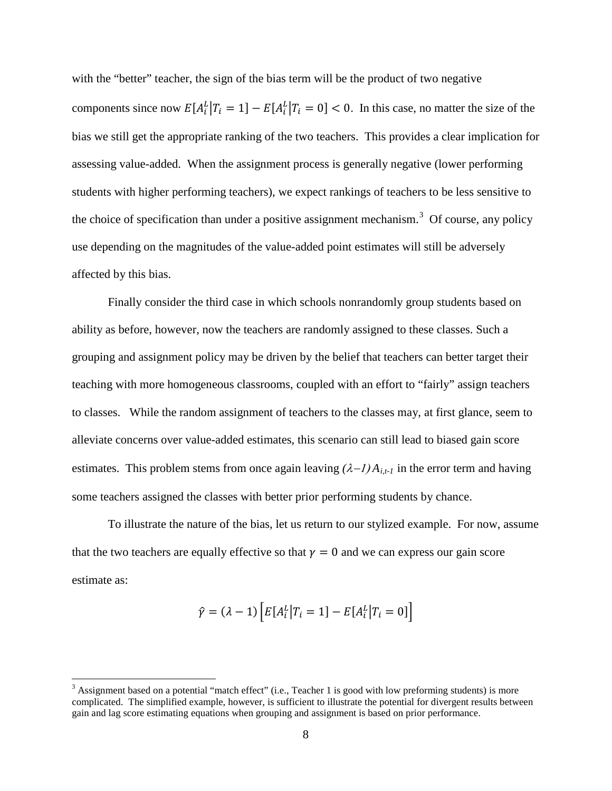with the "better" teacher, the sign of the bias term will be the product of two negative components since now  $E[A_i^L | T_i = 1] - E[A_i^L | T_i = 0] < 0$ . In this case, no matter the size of the bias we still get the appropriate ranking of the two teachers. This provides a clear implication for assessing value-added. When the assignment process is generally negative (lower performing students with higher performing teachers), we expect rankings of teachers to be less sensitive to the choice of specification than under a positive assignment mechanism.<sup>[3](#page-9-0)</sup> Of course, any policy use depending on the magnitudes of the value-added point estimates will still be adversely affected by this bias.

Finally consider the third case in which schools nonrandomly group students based on ability as before, however, now the teachers are randomly assigned to these classes. Such a grouping and assignment policy may be driven by the belief that teachers can better target their teaching with more homogeneous classrooms, coupled with an effort to "fairly" assign teachers to classes. While the random assignment of teachers to the classes may, at first glance, seem to alleviate concerns over value-added estimates, this scenario can still lead to biased gain score estimates. This problem stems from once again leaving  $(\lambda - 1)A_{i,t-1}$  in the error term and having some teachers assigned the classes with better prior performing students by chance.

To illustrate the nature of the bias, let us return to our stylized example. For now, assume that the two teachers are equally effective so that  $y = 0$  and we can express our gain score estimate as:

$$
\hat{\gamma} = (\lambda - 1) \left[ E[A_i^L | T_i = 1] - E[A_i^L | T_i = 0] \right]
$$

<span id="page-9-0"></span> $3$  Assignment based on a potential "match effect" (i.e., Teacher 1 is good with low preforming students) is more complicated. The simplified example, however, is sufficient to illustrate the potential for divergent results between gain and lag score estimating equations when grouping and assignment is based on prior performance.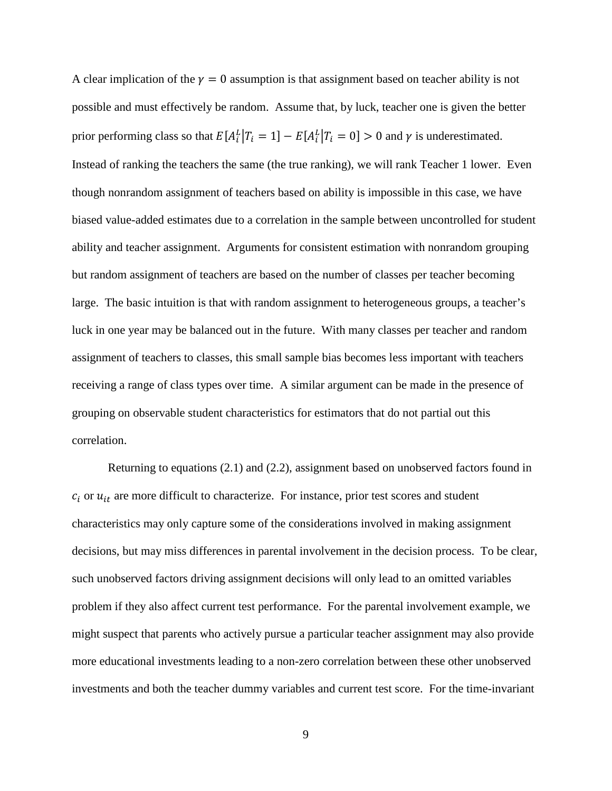A clear implication of the  $\gamma = 0$  assumption is that assignment based on teacher ability is not possible and must effectively be random. Assume that, by luck, teacher one is given the better prior performing class so that  $E[A_i^L | T_i = 1] - E[A_i^L | T_i = 0] > 0$  and  $\gamma$  is underestimated. Instead of ranking the teachers the same (the true ranking), we will rank Teacher 1 lower. Even though nonrandom assignment of teachers based on ability is impossible in this case, we have biased value-added estimates due to a correlation in the sample between uncontrolled for student ability and teacher assignment. Arguments for consistent estimation with nonrandom grouping but random assignment of teachers are based on the number of classes per teacher becoming large. The basic intuition is that with random assignment to heterogeneous groups, a teacher's luck in one year may be balanced out in the future. With many classes per teacher and random assignment of teachers to classes, this small sample bias becomes less important with teachers receiving a range of class types over time. A similar argument can be made in the presence of grouping on observable student characteristics for estimators that do not partial out this correlation.

Returning to equations (2.1) and (2.2), assignment based on unobserved factors found in  $c_i$  or  $u_{it}$  are more difficult to characterize. For instance, prior test scores and student characteristics may only capture some of the considerations involved in making assignment decisions, but may miss differences in parental involvement in the decision process. To be clear, such unobserved factors driving assignment decisions will only lead to an omitted variables problem if they also affect current test performance. For the parental involvement example, we might suspect that parents who actively pursue a particular teacher assignment may also provide more educational investments leading to a non-zero correlation between these other unobserved investments and both the teacher dummy variables and current test score. For the time-invariant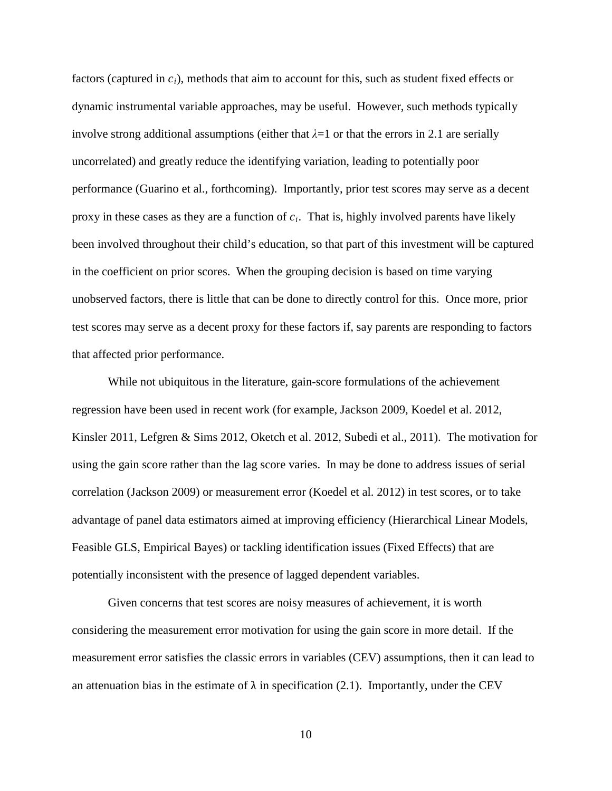factors (captured in *ci*), methods that aim to account for this, such as student fixed effects or dynamic instrumental variable approaches, may be useful. However, such methods typically involve strong additional assumptions (either that  $\lambda=1$  or that the errors in 2.1 are serially uncorrelated) and greatly reduce the identifying variation, leading to potentially poor performance (Guarino et al., forthcoming). Importantly, prior test scores may serve as a decent proxy in these cases as they are a function of *ci*. That is, highly involved parents have likely been involved throughout their child's education, so that part of this investment will be captured in the coefficient on prior scores. When the grouping decision is based on time varying unobserved factors, there is little that can be done to directly control for this. Once more, prior test scores may serve as a decent proxy for these factors if, say parents are responding to factors that affected prior performance.

While not ubiquitous in the literature, gain-score formulations of the achievement regression have been used in recent work (for example, Jackson 2009, Koedel et al. 2012, Kinsler 2011, Lefgren & Sims 2012, Oketch et al. 2012, Subedi et al., 2011). The motivation for using the gain score rather than the lag score varies. In may be done to address issues of serial correlation (Jackson 2009) or measurement error (Koedel et al. 2012) in test scores, or to take advantage of panel data estimators aimed at improving efficiency (Hierarchical Linear Models, Feasible GLS, Empirical Bayes) or tackling identification issues (Fixed Effects) that are potentially inconsistent with the presence of lagged dependent variables.

Given concerns that test scores are noisy measures of achievement, it is worth considering the measurement error motivation for using the gain score in more detail. If the measurement error satisfies the classic errors in variables (CEV) assumptions, then it can lead to an attenuation bias in the estimate of  $\lambda$  in specification (2.1). Importantly, under the CEV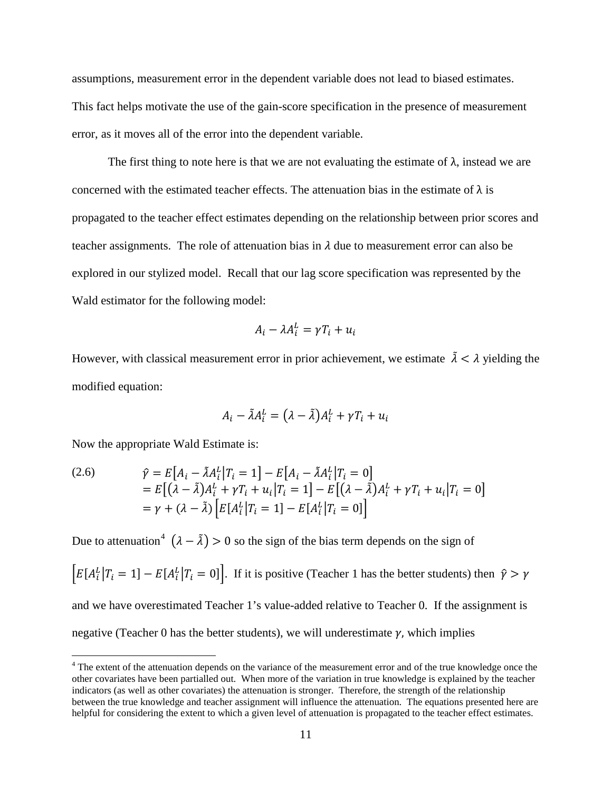assumptions, measurement error in the dependent variable does not lead to biased estimates. This fact helps motivate the use of the gain-score specification in the presence of measurement error, as it moves all of the error into the dependent variable.

The first thing to note here is that we are not evaluating the estimate of  $\lambda$ , instead we are concerned with the estimated teacher effects. The attenuation bias in the estimate of  $\lambda$  is propagated to the teacher effect estimates depending on the relationship between prior scores and teacher assignments. The role of attenuation bias in  $\lambda$  due to measurement error can also be explored in our stylized model. Recall that our lag score specification was represented by the Wald estimator for the following model:

$$
A_i - \lambda A_i^L = \gamma T_i + u_i
$$

However, with classical measurement error in prior achievement, we estimate  $\tilde{\lambda} < \lambda$  yielding the modified equation:

$$
A_i - \tilde{\lambda} A_i^L = (\lambda - \tilde{\lambda}) A_i^L + \gamma T_i + u_i
$$

Now the appropriate Wald Estimate is:

(2.6) 
$$
\hat{\gamma} = E[A_i - \tilde{\lambda} A_i^L | T_i = 1] - E[A_i - \tilde{\lambda} A_i^L | T_i = 0] \n= E[(\lambda - \tilde{\lambda}) A_i^L + \gamma T_i + u_i | T_i = 1] - E[(\lambda - \tilde{\lambda}) A_i^L + \gamma T_i + u_i | T_i = 0] \n= \gamma + (\lambda - \tilde{\lambda}) [E[A_i^L | T_i = 1] - E[A_i^L | T_i = 0]]
$$

Due to attenuation<sup>[4](#page-12-0)</sup>  $(\lambda - \tilde{\lambda}) > 0$  so the sign of the bias term depends on the sign of

 $E[A_i^L | T_i = 1] - E[A_i^L | T_i = 0]$ . If it is positive (Teacher 1 has the better students) then  $\hat{\gamma} > \gamma$ and we have overestimated Teacher 1's value-added relative to Teacher 0. If the assignment is negative (Teacher 0 has the better students), we will underestimate  $\gamma$ , which implies

<span id="page-12-0"></span><sup>&</sup>lt;sup>4</sup> The extent of the attenuation depends on the variance of the measurement error and of the true knowledge once the other covariates have been partialled out. When more of the variation in true knowledge is explained by the teacher indicators (as well as other covariates) the attenuation is stronger. Therefore, the strength of the relationship between the true knowledge and teacher assignment will influence the attenuation. The equations presented here are helpful for considering the extent to which a given level of attenuation is propagated to the teacher effect estimates.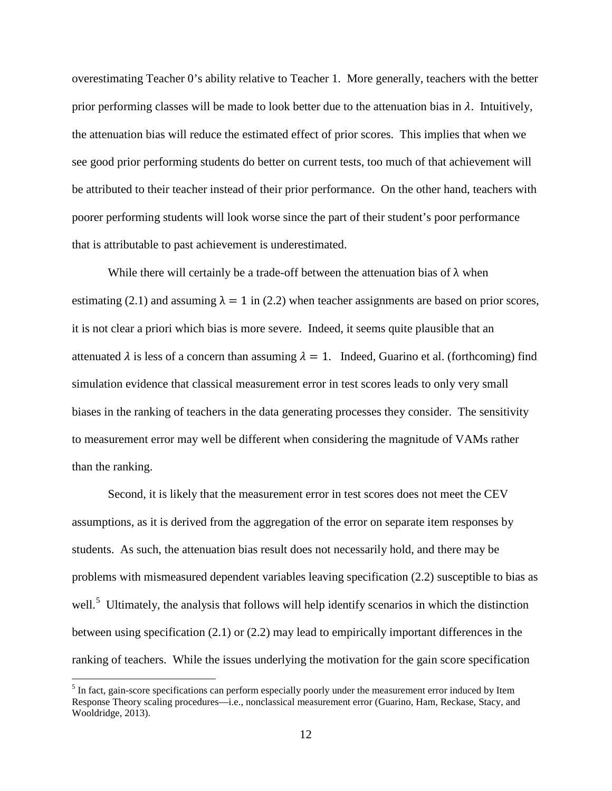overestimating Teacher 0's ability relative to Teacher 1. More generally, teachers with the better prior performing classes will be made to look better due to the attenuation bias in  $\lambda$ . Intuitively, the attenuation bias will reduce the estimated effect of prior scores. This implies that when we see good prior performing students do better on current tests, too much of that achievement will be attributed to their teacher instead of their prior performance. On the other hand, teachers with poorer performing students will look worse since the part of their student's poor performance that is attributable to past achievement is underestimated.

While there will certainly be a trade-off between the attenuation bias of  $\lambda$  when estimating (2.1) and assuming  $\lambda = 1$  in (2.2) when teacher assignments are based on prior scores, it is not clear a priori which bias is more severe. Indeed, it seems quite plausible that an attenuated  $\lambda$  is less of a concern than assuming  $\lambda = 1$ . Indeed, Guarino et al. (forthcoming) find simulation evidence that classical measurement error in test scores leads to only very small biases in the ranking of teachers in the data generating processes they consider. The sensitivity to measurement error may well be different when considering the magnitude of VAMs rather than the ranking.

Second, it is likely that the measurement error in test scores does not meet the CEV assumptions, as it is derived from the aggregation of the error on separate item responses by students. As such, the attenuation bias result does not necessarily hold, and there may be problems with mismeasured dependent variables leaving specification (2.2) susceptible to bias as well.<sup>[5](#page-13-0)</sup> Ultimately, the analysis that follows will help identify scenarios in which the distinction between using specification (2.1) or (2.2) may lead to empirically important differences in the ranking of teachers. While the issues underlying the motivation for the gain score specification

<span id="page-13-0"></span><sup>&</sup>lt;sup>5</sup> In fact, gain-score specifications can perform especially poorly under the measurement error induced by Item Response Theory scaling procedures—i.e., nonclassical measurement error (Guarino, Ham, Reckase, Stacy, and Wooldridge, 2013).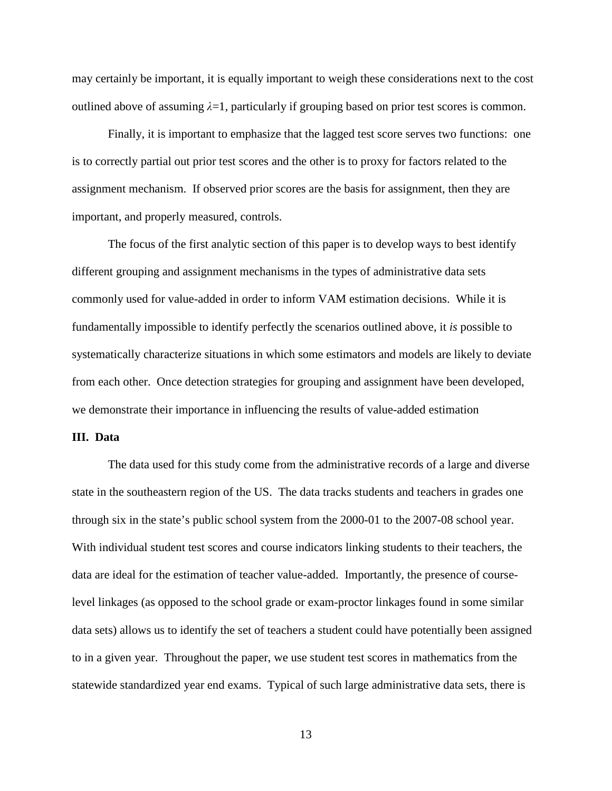may certainly be important, it is equally important to weigh these considerations next to the cost outlined above of assuming  $\lambda = 1$ , particularly if grouping based on prior test scores is common.

Finally, it is important to emphasize that the lagged test score serves two functions: one is to correctly partial out prior test scores and the other is to proxy for factors related to the assignment mechanism. If observed prior scores are the basis for assignment, then they are important, and properly measured, controls.

The focus of the first analytic section of this paper is to develop ways to best identify different grouping and assignment mechanisms in the types of administrative data sets commonly used for value-added in order to inform VAM estimation decisions. While it is fundamentally impossible to identify perfectly the scenarios outlined above, it *is* possible to systematically characterize situations in which some estimators and models are likely to deviate from each other. Once detection strategies for grouping and assignment have been developed, we demonstrate their importance in influencing the results of value-added estimation

#### **III. Data**

The data used for this study come from the administrative records of a large and diverse state in the southeastern region of the US. The data tracks students and teachers in grades one through six in the state's public school system from the 2000-01 to the 2007-08 school year. With individual student test scores and course indicators linking students to their teachers, the data are ideal for the estimation of teacher value-added. Importantly, the presence of courselevel linkages (as opposed to the school grade or exam-proctor linkages found in some similar data sets) allows us to identify the set of teachers a student could have potentially been assigned to in a given year. Throughout the paper, we use student test scores in mathematics from the statewide standardized year end exams. Typical of such large administrative data sets, there is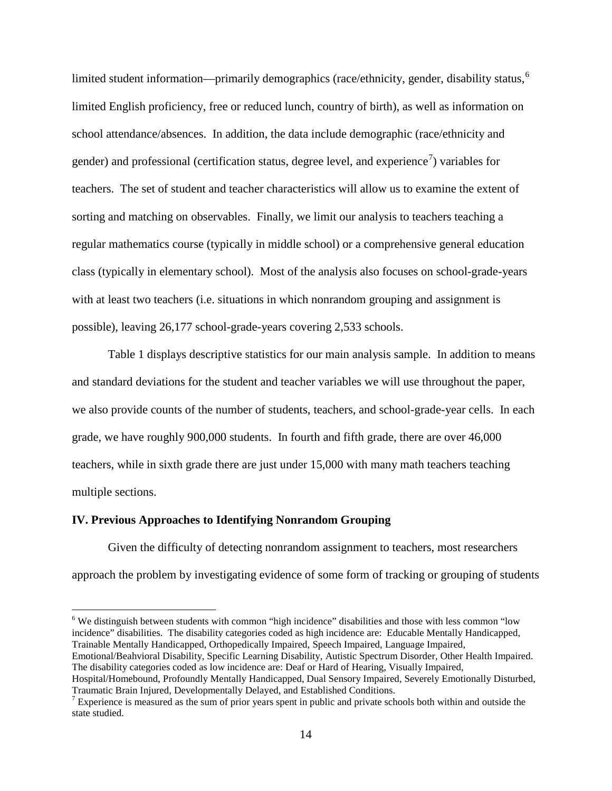limited student information—primarily demographics (race/ethnicity, gender, disability status,<sup>[6](#page-15-0)</sup> limited English proficiency, free or reduced lunch, country of birth), as well as information on school attendance/absences. In addition, the data include demographic (race/ethnicity and gender) and professional (certification status, degree level, and experience<sup>[7](#page-15-1)</sup>) variables for teachers. The set of student and teacher characteristics will allow us to examine the extent of sorting and matching on observables. Finally, we limit our analysis to teachers teaching a regular mathematics course (typically in middle school) or a comprehensive general education class (typically in elementary school). Most of the analysis also focuses on school-grade-years with at least two teachers (i.e. situations in which nonrandom grouping and assignment is possible), leaving 26,177 school-grade-years covering 2,533 schools.

Table 1 displays descriptive statistics for our main analysis sample. In addition to means and standard deviations for the student and teacher variables we will use throughout the paper, we also provide counts of the number of students, teachers, and school-grade-year cells. In each grade, we have roughly 900,000 students. In fourth and fifth grade, there are over 46,000 teachers, while in sixth grade there are just under 15,000 with many math teachers teaching multiple sections.

#### **IV. Previous Approaches to Identifying Nonrandom Grouping**

Given the difficulty of detecting nonrandom assignment to teachers, most researchers approach the problem by investigating evidence of some form of tracking or grouping of students

<span id="page-15-0"></span><sup>6</sup> We distinguish between students with common "high incidence" disabilities and those with less common "low incidence" disabilities. The disability categories coded as high incidence are: Educable Mentally Handicapped, Trainable Mentally Handicapped, Orthopedically Impaired, Speech Impaired, Language Impaired,

Emotional/Beahvioral Disability, Specific Learning Disability, Autistic Spectrum Disorder, Other Health Impaired. The disability categories coded as low incidence are: Deaf or Hard of Hearing, Visually Impaired,

Hospital/Homebound, Profoundly Mentally Handicapped, Dual Sensory Impaired, Severely Emotionally Disturbed, Traumatic Brain Injured, Developmentally Delayed, and Established Conditions.

<span id="page-15-1"></span> $\frac{7}{10}$  Experience is measured as the sum of prior years spent in public and private schools both within and outside the state studied.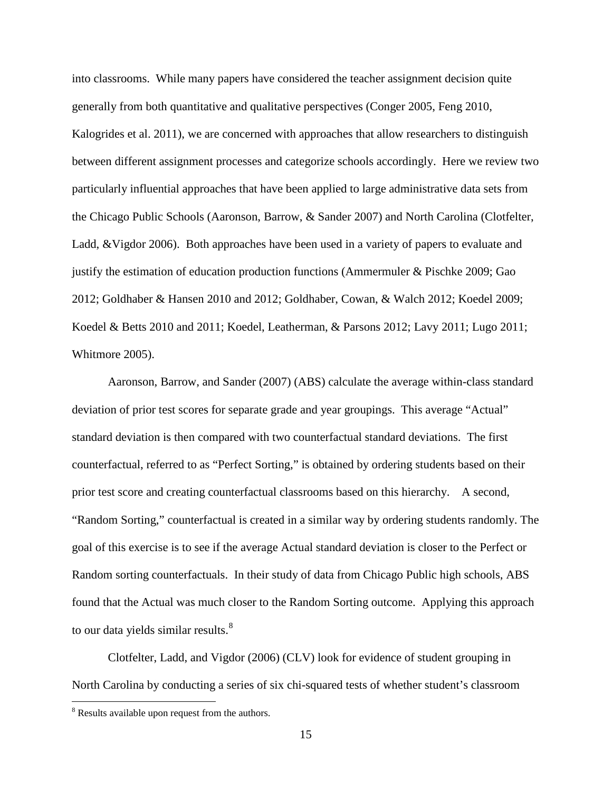into classrooms. While many papers have considered the teacher assignment decision quite generally from both quantitative and qualitative perspectives (Conger 2005, Feng 2010, Kalogrides et al. 2011), we are concerned with approaches that allow researchers to distinguish between different assignment processes and categorize schools accordingly. Here we review two particularly influential approaches that have been applied to large administrative data sets from the Chicago Public Schools (Aaronson, Barrow, & Sander 2007) and North Carolina (Clotfelter, Ladd, &Vigdor 2006). Both approaches have been used in a variety of papers to evaluate and justify the estimation of education production functions (Ammermuler & Pischke 2009; Gao 2012; Goldhaber & Hansen 2010 and 2012; Goldhaber, Cowan, & Walch 2012; Koedel 2009; Koedel & Betts 2010 and 2011; Koedel, Leatherman, & Parsons 2012; Lavy 2011; Lugo 2011; Whitmore 2005).

Aaronson, Barrow, and Sander (2007) (ABS) calculate the average within-class standard deviation of prior test scores for separate grade and year groupings. This average "Actual" standard deviation is then compared with two counterfactual standard deviations. The first counterfactual, referred to as "Perfect Sorting," is obtained by ordering students based on their prior test score and creating counterfactual classrooms based on this hierarchy. A second, "Random Sorting," counterfactual is created in a similar way by ordering students randomly. The goal of this exercise is to see if the average Actual standard deviation is closer to the Perfect or Random sorting counterfactuals. In their study of data from Chicago Public high schools, ABS found that the Actual was much closer to the Random Sorting outcome. Applying this approach to our data yields similar results.<sup>[8](#page-16-0)</sup>

Clotfelter, Ladd, and Vigdor (2006) (CLV) look for evidence of student grouping in North Carolina by conducting a series of six chi-squared tests of whether student's classroom

<span id="page-16-0"></span><sup>&</sup>lt;sup>8</sup> Results available upon request from the authors.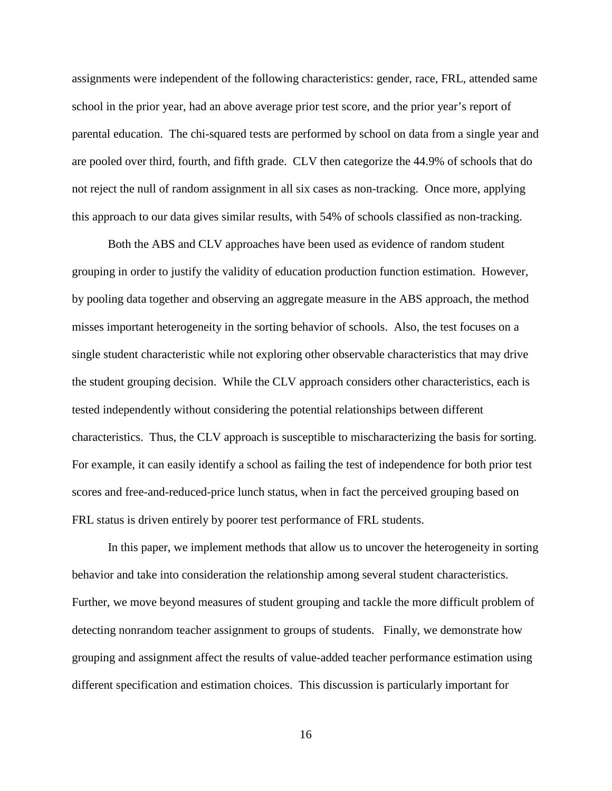assignments were independent of the following characteristics: gender, race, FRL, attended same school in the prior year, had an above average prior test score, and the prior year's report of parental education. The chi-squared tests are performed by school on data from a single year and are pooled over third, fourth, and fifth grade. CLV then categorize the 44.9% of schools that do not reject the null of random assignment in all six cases as non-tracking. Once more, applying this approach to our data gives similar results, with 54% of schools classified as non-tracking.

Both the ABS and CLV approaches have been used as evidence of random student grouping in order to justify the validity of education production function estimation. However, by pooling data together and observing an aggregate measure in the ABS approach, the method misses important heterogeneity in the sorting behavior of schools. Also, the test focuses on a single student characteristic while not exploring other observable characteristics that may drive the student grouping decision. While the CLV approach considers other characteristics, each is tested independently without considering the potential relationships between different characteristics. Thus, the CLV approach is susceptible to mischaracterizing the basis for sorting. For example, it can easily identify a school as failing the test of independence for both prior test scores and free-and-reduced-price lunch status, when in fact the perceived grouping based on FRL status is driven entirely by poorer test performance of FRL students.

In this paper, we implement methods that allow us to uncover the heterogeneity in sorting behavior and take into consideration the relationship among several student characteristics. Further, we move beyond measures of student grouping and tackle the more difficult problem of detecting nonrandom teacher assignment to groups of students. Finally, we demonstrate how grouping and assignment affect the results of value-added teacher performance estimation using different specification and estimation choices. This discussion is particularly important for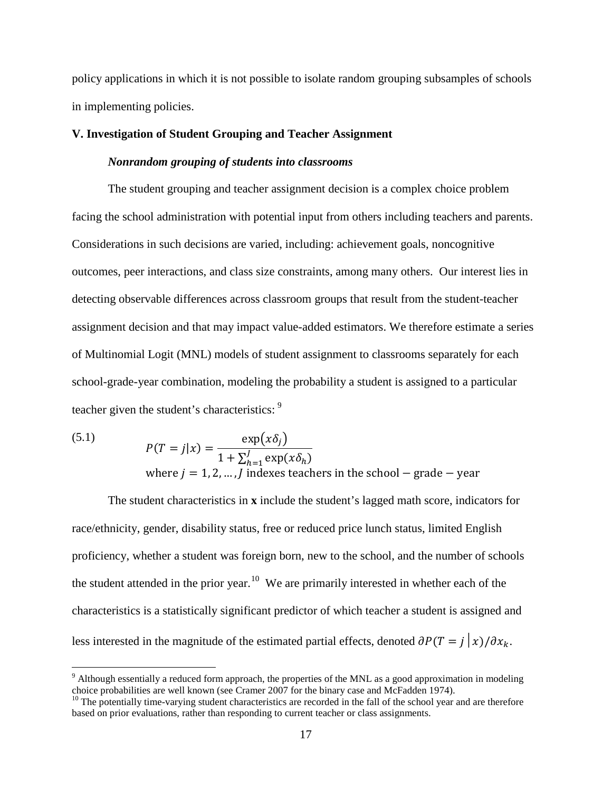policy applications in which it is not possible to isolate random grouping subsamples of schools in implementing policies.

#### **V. Investigation of Student Grouping and Teacher Assignment**

#### *Nonrandom grouping of students into classrooms*

The student grouping and teacher assignment decision is a complex choice problem facing the school administration with potential input from others including teachers and parents. Considerations in such decisions are varied, including: achievement goals, noncognitive outcomes, peer interactions, and class size constraints, among many others. Our interest lies in detecting observable differences across classroom groups that result from the student-teacher assignment decision and that may impact value-added estimators. We therefore estimate a series of Multinomial Logit (MNL) models of student assignment to classrooms separately for each school-grade-year combination, modeling the probability a student is assigned to a particular teacher given the student's characteristics: [9](#page-18-0)

(5.1) 
$$
P(T = j|x) = \frac{\exp(x\delta_j)}{1 + \sum_{h=1}^{J} \exp(x\delta_h)}
$$
  
where  $j = 1, 2, ..., J$  indexes teachers in the school – grade – year

The student characteristics in **x** include the student's lagged math score, indicators for race/ethnicity, gender, disability status, free or reduced price lunch status, limited English proficiency, whether a student was foreign born, new to the school, and the number of schools the student attended in the prior year.<sup>10</sup> We are primarily interested in whether each of the characteristics is a statistically significant predictor of which teacher a student is assigned and less interested in the magnitude of the estimated partial effects, denoted  $\partial P(T = j|x)/\partial x_k$ .

<span id="page-18-0"></span><sup>&</sup>lt;sup>9</sup> Although essentially a reduced form approach, the properties of the MNL as a good approximation in modeling choice probabilities are well known (see Cramer 2007 for the binary case and McFadden 1974).<br><sup>10</sup> The potentially time-varying student characteristics are recorded in the fall of the school year and are therefore

<span id="page-18-1"></span>based on prior evaluations, rather than responding to current teacher or class assignments.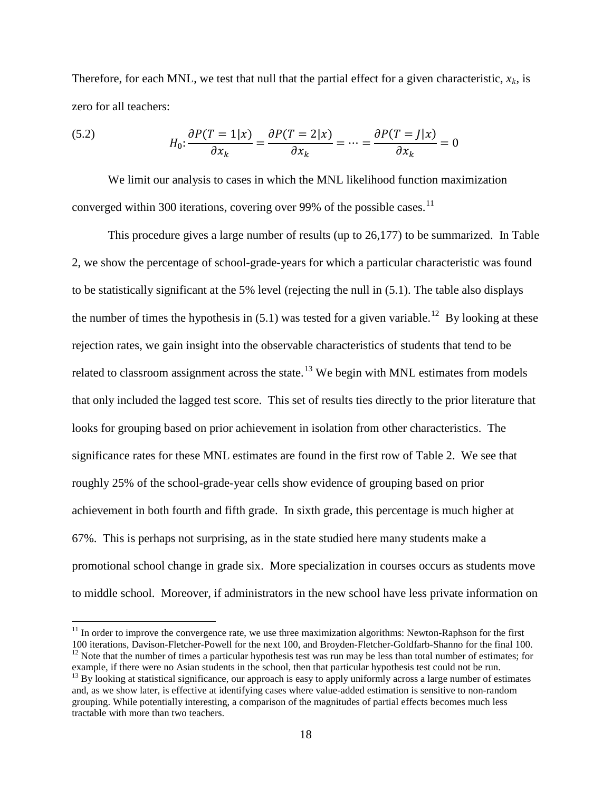Therefore, for each MNL, we test that null that the partial effect for a given characteristic,  $x_k$ , is zero for all teachers:

(5.2) 
$$
H_0: \frac{\partial P(T=1|x)}{\partial x_k} = \frac{\partial P(T=2|x)}{\partial x_k} = \dots = \frac{\partial P(T=J|x)}{\partial x_k} = 0
$$

We limit our analysis to cases in which the MNL likelihood function maximization converged within 300 iterations, covering over 99% of the possible cases.<sup>11</sup>

This procedure gives a large number of results (up to 26,177) to be summarized. In Table 2, we show the percentage of school-grade-years for which a particular characteristic was found to be statistically significant at the 5% level (rejecting the null in (5.1). The table also displays the number of times the hypothesis in  $(5.1)$  was tested for a given variable.<sup>12</sup> By looking at these rejection rates, we gain insight into the observable characteristics of students that tend to be related to classroom assignment across the state.<sup>[13](#page-19-2)</sup> We begin with MNL estimates from models that only included the lagged test score. This set of results ties directly to the prior literature that looks for grouping based on prior achievement in isolation from other characteristics. The significance rates for these MNL estimates are found in the first row of Table 2. We see that roughly 25% of the school-grade-year cells show evidence of grouping based on prior achievement in both fourth and fifth grade. In sixth grade, this percentage is much higher at 67%. This is perhaps not surprising, as in the state studied here many students make a promotional school change in grade six. More specialization in courses occurs as students move to middle school. Moreover, if administrators in the new school have less private information on

<span id="page-19-0"></span><sup>&</sup>lt;sup>11</sup> In order to improve the convergence rate, we use three maximization algorithms: Newton-Raphson for the first 100 iterations, Davison-Fletcher-Powell for the next 100, and Broyden-Fletcher-Goldfarb-Shanno for the fina  $12$  Note that the number of times a particular hypothesis test was run may be less than total number of estimates; for example, if there were no Asian students in the school, then that particular hypothesis test could no

<span id="page-19-2"></span><span id="page-19-1"></span> $^{13}$  By looking at statistical significance, our approach is easy to apply uniformly across a large number of estimates and, as we show later, is effective at identifying cases where value-added estimation is sensitive to non-random grouping. While potentially interesting, a comparison of the magnitudes of partial effects becomes much less tractable with more than two teachers.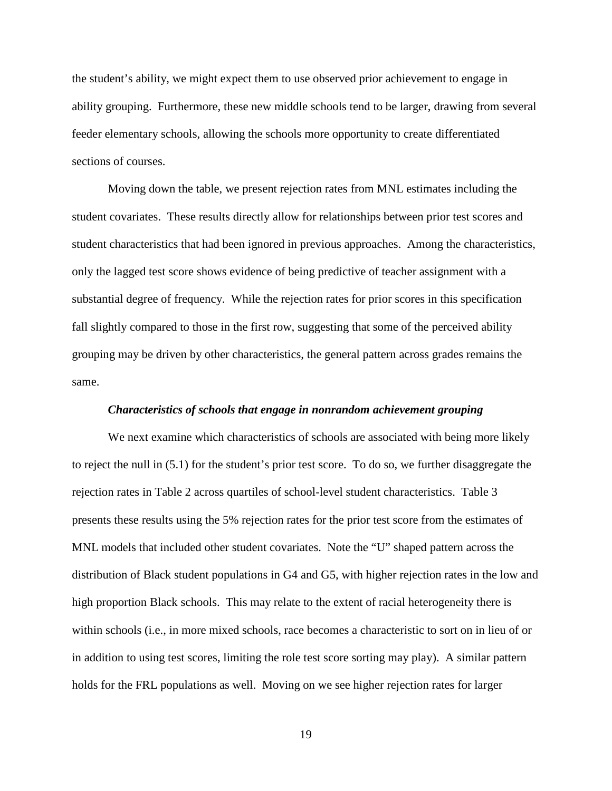the student's ability, we might expect them to use observed prior achievement to engage in ability grouping. Furthermore, these new middle schools tend to be larger, drawing from several feeder elementary schools, allowing the schools more opportunity to create differentiated sections of courses.

Moving down the table, we present rejection rates from MNL estimates including the student covariates. These results directly allow for relationships between prior test scores and student characteristics that had been ignored in previous approaches. Among the characteristics, only the lagged test score shows evidence of being predictive of teacher assignment with a substantial degree of frequency. While the rejection rates for prior scores in this specification fall slightly compared to those in the first row, suggesting that some of the perceived ability grouping may be driven by other characteristics, the general pattern across grades remains the same.

#### *Characteristics of schools that engage in nonrandom achievement grouping*

We next examine which characteristics of schools are associated with being more likely to reject the null in (5.1) for the student's prior test score. To do so, we further disaggregate the rejection rates in Table 2 across quartiles of school-level student characteristics. Table 3 presents these results using the 5% rejection rates for the prior test score from the estimates of MNL models that included other student covariates. Note the "U" shaped pattern across the distribution of Black student populations in G4 and G5, with higher rejection rates in the low and high proportion Black schools. This may relate to the extent of racial heterogeneity there is within schools (i.e., in more mixed schools, race becomes a characteristic to sort on in lieu of or in addition to using test scores, limiting the role test score sorting may play). A similar pattern holds for the FRL populations as well. Moving on we see higher rejection rates for larger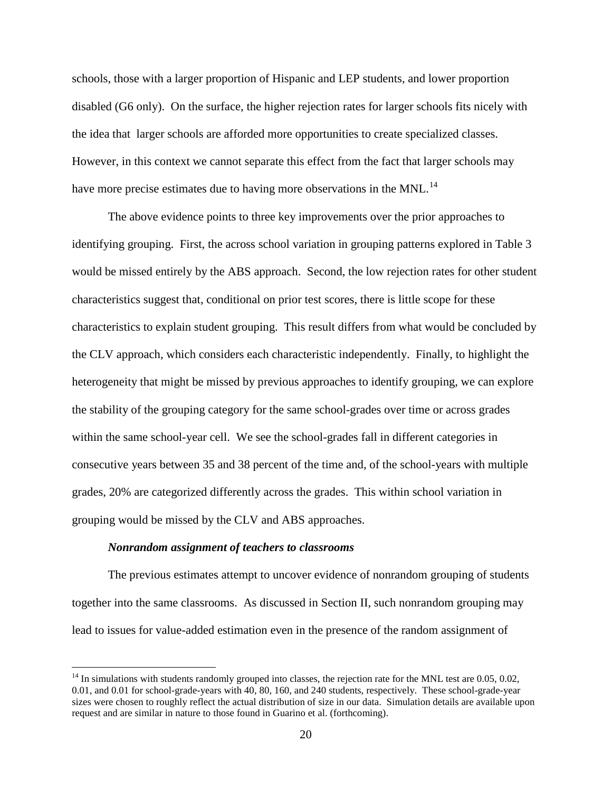schools, those with a larger proportion of Hispanic and LEP students, and lower proportion disabled (G6 only). On the surface, the higher rejection rates for larger schools fits nicely with the idea that larger schools are afforded more opportunities to create specialized classes. However, in this context we cannot separate this effect from the fact that larger schools may have more precise estimates due to having more observations in the MNL.<sup>[14](#page-21-0)</sup>

The above evidence points to three key improvements over the prior approaches to identifying grouping. First, the across school variation in grouping patterns explored in Table 3 would be missed entirely by the ABS approach. Second, the low rejection rates for other student characteristics suggest that, conditional on prior test scores, there is little scope for these characteristics to explain student grouping. This result differs from what would be concluded by the CLV approach, which considers each characteristic independently. Finally, to highlight the heterogeneity that might be missed by previous approaches to identify grouping, we can explore the stability of the grouping category for the same school-grades over time or across grades within the same school-year cell. We see the school-grades fall in different categories in consecutive years between 35 and 38 percent of the time and, of the school-years with multiple grades, 20% are categorized differently across the grades. This within school variation in grouping would be missed by the CLV and ABS approaches.

#### *Nonrandom assignment of teachers to classrooms*

The previous estimates attempt to uncover evidence of nonrandom grouping of students together into the same classrooms. As discussed in Section II, such nonrandom grouping may lead to issues for value-added estimation even in the presence of the random assignment of

<span id="page-21-0"></span> $14$  In simulations with students randomly grouped into classes, the rejection rate for the MNL test are 0.05, 0.02, 0.01, and 0.01 for school-grade-years with 40, 80, 160, and 240 students, respectively. These school-grade-year sizes were chosen to roughly reflect the actual distribution of size in our data. Simulation details are available upon request and are similar in nature to those found in Guarino et al. (forthcoming).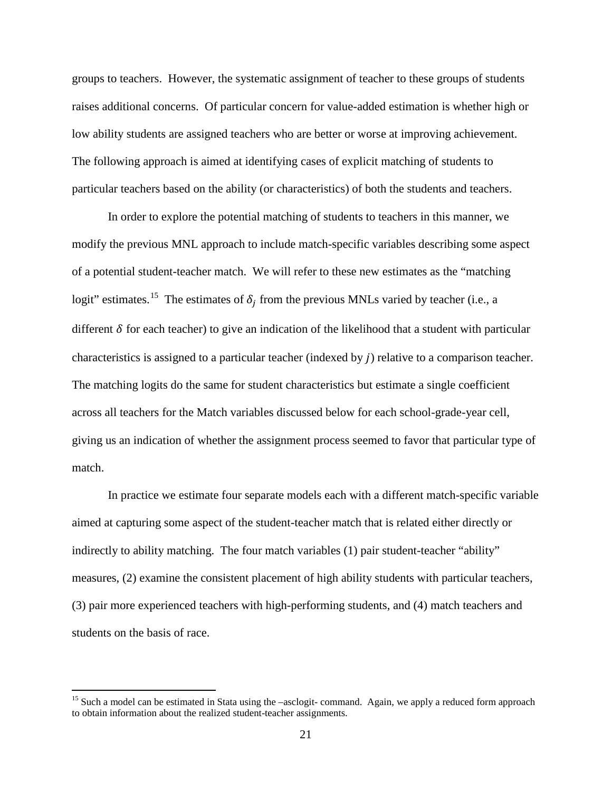groups to teachers. However, the systematic assignment of teacher to these groups of students raises additional concerns. Of particular concern for value-added estimation is whether high or low ability students are assigned teachers who are better or worse at improving achievement. The following approach is aimed at identifying cases of explicit matching of students to particular teachers based on the ability (or characteristics) of both the students and teachers.

In order to explore the potential matching of students to teachers in this manner, we modify the previous MNL approach to include match-specific variables describing some aspect of a potential student-teacher match. We will refer to these new estimates as the "matching logit" estimates.<sup>15</sup> The estimates of  $\delta_j$  from the previous MNLs varied by teacher (i.e., a different  $\delta$  for each teacher) to give an indication of the likelihood that a student with particular characteristics is assigned to a particular teacher (indexed by  $j$ ) relative to a comparison teacher. The matching logits do the same for student characteristics but estimate a single coefficient across all teachers for the Match variables discussed below for each school-grade-year cell, giving us an indication of whether the assignment process seemed to favor that particular type of match.

In practice we estimate four separate models each with a different match-specific variable aimed at capturing some aspect of the student-teacher match that is related either directly or indirectly to ability matching. The four match variables (1) pair student-teacher "ability" measures, (2) examine the consistent placement of high ability students with particular teachers, (3) pair more experienced teachers with high-performing students, and (4) match teachers and students on the basis of race.

<span id="page-22-0"></span><sup>&</sup>lt;sup>15</sup> Such a model can be estimated in Stata using the –asclogit- command. Again, we apply a reduced form approach to obtain information about the realized student-teacher assignments.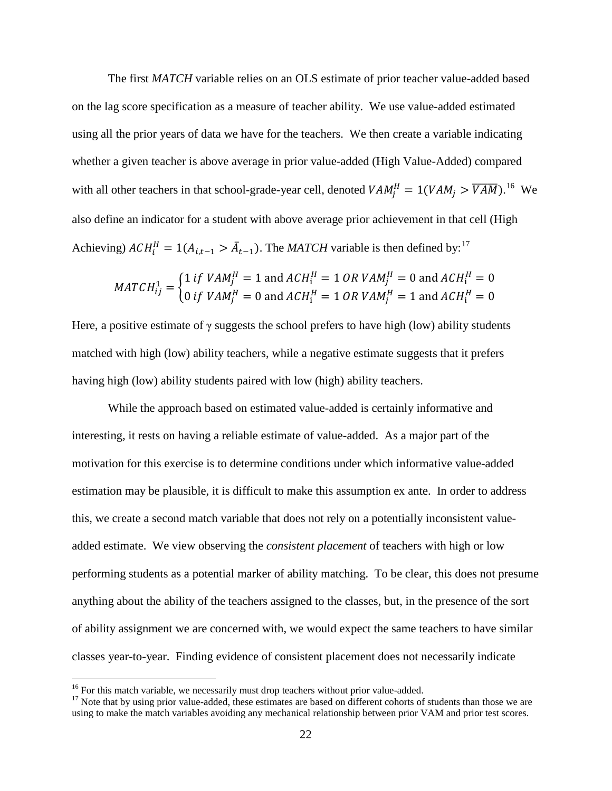The first *MATCH* variable relies on an OLS estimate of prior teacher value-added based on the lag score specification as a measure of teacher ability. We use value-added estimated using all the prior years of data we have for the teachers. We then create a variable indicating whether a given teacher is above average in prior value-added (High Value-Added) compared with all other teachers in that school-grade-year cell, denoted  $VAM_j^H = 1(VAM_j > \overline{VAM})$ .<sup>[16](#page-23-0)</sup> We also define an indicator for a student with above average prior achievement in that cell (High Achieving)  $ACH_i^H = 1(A_{i,t-1} > \bar{A}_{t-1})$ . The *MATCH* variable is then defined by:<sup>[17](#page-23-1)</sup>

$$
MATCH_{ij}^1 = \begin{cases} 1 \text{ if } VAM_j^H = 1 \text{ and } ACH_i^H = 1 \text{ OR } VAM_j^H = 0 \text{ and } ACH_i^H = 0\\ 0 \text{ if } VAM_j^H = 0 \text{ and } ACH_i^H = 1 \text{ OR } VAM_j^H = 1 \text{ and } ACH_i^H = 0 \end{cases}
$$

Here, a positive estimate of  $\gamma$  suggests the school prefers to have high (low) ability students matched with high (low) ability teachers, while a negative estimate suggests that it prefers having high (low) ability students paired with low (high) ability teachers.

While the approach based on estimated value-added is certainly informative and interesting, it rests on having a reliable estimate of value-added. As a major part of the motivation for this exercise is to determine conditions under which informative value-added estimation may be plausible, it is difficult to make this assumption ex ante. In order to address this, we create a second match variable that does not rely on a potentially inconsistent valueadded estimate. We view observing the *consistent placement* of teachers with high or low performing students as a potential marker of ability matching. To be clear, this does not presume anything about the ability of the teachers assigned to the classes, but, in the presence of the sort of ability assignment we are concerned with, we would expect the same teachers to have similar classes year-to-year. Finding evidence of consistent placement does not necessarily indicate

<span id="page-23-1"></span><span id="page-23-0"></span><sup>&</sup>lt;sup>16</sup> For this match variable, we necessarily must drop teachers without prior value-added.  $17$  Note that by using prior value-added, these estimates are based on different cohorts of students than those we are using to make the match variables avoiding any mechanical relationship between prior VAM and prior test scores.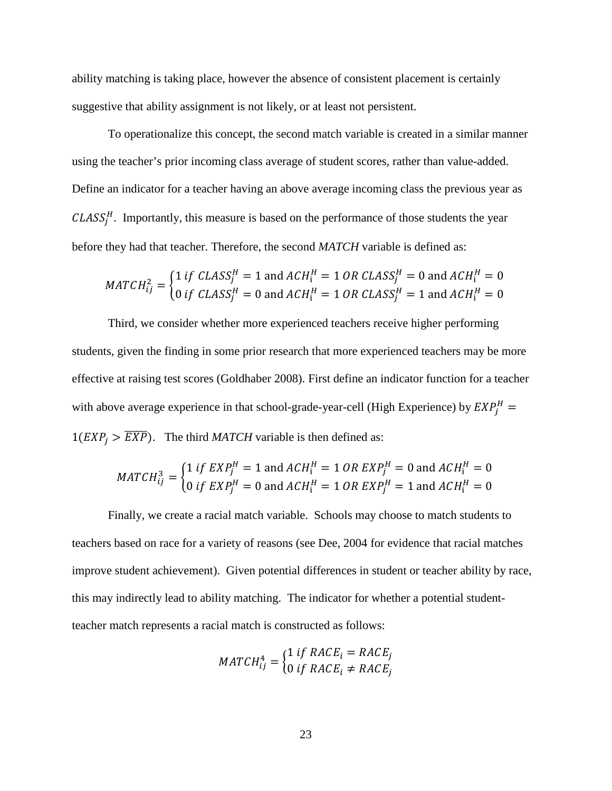ability matching is taking place, however the absence of consistent placement is certainly suggestive that ability assignment is not likely, or at least not persistent.

To operationalize this concept, the second match variable is created in a similar manner using the teacher's prior incoming class average of student scores, rather than value-added. Define an indicator for a teacher having an above average incoming class the previous year as  $CLASS<sub>j</sub><sup>H</sup>$ . Importantly, this measure is based on the performance of those students the year before they had that teacher. Therefore, the second *MATCH* variable is defined as:

$$
MATCH_{ij}^2 = \begin{cases} 1 \text{ if } CLASS_j^H = 1 \text{ and } ACH_i^H = 1 \text{ OR } CLASS_j^H = 0 \text{ and } ACH_i^H = 0\\ 0 \text{ if } CLASS_j^H = 0 \text{ and } ACH_i^H = 1 \text{ OR } CLASS_j^H = 1 \text{ and } ACH_i^H = 0 \end{cases}
$$

Third, we consider whether more experienced teachers receive higher performing students, given the finding in some prior research that more experienced teachers may be more effective at raising test scores (Goldhaber 2008). First define an indicator function for a teacher with above average experience in that school-grade-year-cell (High Experience) by  $EXP_{j}^{H} =$  $1(EXP_i > \overline{EXP}$ ). The third *MATCH* variable is then defined as:

$$
MATCH_{ij}^3 = \begin{cases} 1 \text{ if } EXP_j^H = 1 \text{ and } ACH_i^H = 1 \text{ OR } EXP_j^H = 0 \text{ and } ACH_i^H = 0\\ 0 \text{ if } EXP_j^H = 0 \text{ and } ACH_i^H = 1 \text{ OR } EXP_j^H = 1 \text{ and } ACH_i^H = 0 \end{cases}
$$

Finally, we create a racial match variable. Schools may choose to match students to teachers based on race for a variety of reasons (see Dee, 2004 for evidence that racial matches improve student achievement). Given potential differences in student or teacher ability by race, this may indirectly lead to ability matching. The indicator for whether a potential studentteacher match represents a racial match is constructed as follows:

$$
MATCH_{ij}^4 = \begin{cases} 1 \text{ if } RACE_i = RACE_j \\ 0 \text{ if } RACE_i \neq RACE_j \end{cases}
$$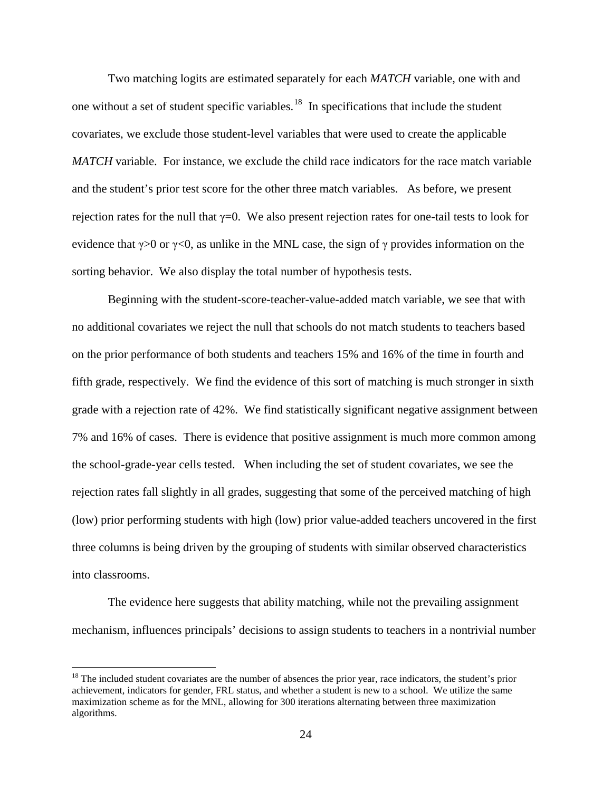Two matching logits are estimated separately for each *MATCH* variable, one with and one without a set of student specific variables.<sup>18</sup> In specifications that include the student covariates, we exclude those student-level variables that were used to create the applicable *MATCH* variable. For instance, we exclude the child race indicators for the race match variable and the student's prior test score for the other three match variables. As before, we present rejection rates for the null that  $\gamma=0$ . We also present rejection rates for one-tail tests to look for evidence that  $\gamma > 0$  or  $\gamma < 0$ , as unlike in the MNL case, the sign of  $\gamma$  provides information on the sorting behavior. We also display the total number of hypothesis tests.

Beginning with the student-score-teacher-value-added match variable, we see that with no additional covariates we reject the null that schools do not match students to teachers based on the prior performance of both students and teachers 15% and 16% of the time in fourth and fifth grade, respectively. We find the evidence of this sort of matching is much stronger in sixth grade with a rejection rate of 42%. We find statistically significant negative assignment between 7% and 16% of cases. There is evidence that positive assignment is much more common among the school-grade-year cells tested. When including the set of student covariates, we see the rejection rates fall slightly in all grades, suggesting that some of the perceived matching of high (low) prior performing students with high (low) prior value-added teachers uncovered in the first three columns is being driven by the grouping of students with similar observed characteristics into classrooms.

The evidence here suggests that ability matching, while not the prevailing assignment mechanism, influences principals' decisions to assign students to teachers in a nontrivial number

<span id="page-25-0"></span> $18$  The included student covariates are the number of absences the prior year, race indicators, the student's prior achievement, indicators for gender, FRL status, and whether a student is new to a school. We utilize the same maximization scheme as for the MNL, allowing for 300 iterations alternating between three maximization algorithms.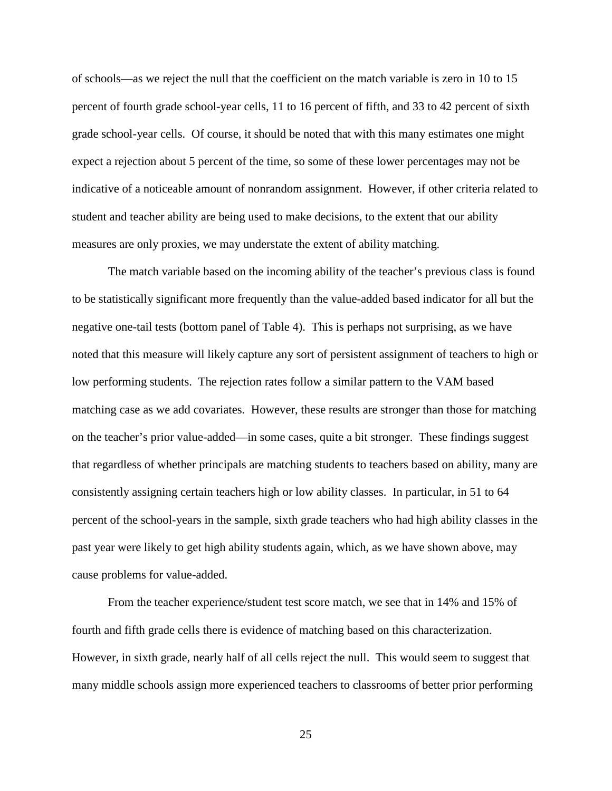of schools—as we reject the null that the coefficient on the match variable is zero in 10 to 15 percent of fourth grade school-year cells, 11 to 16 percent of fifth, and 33 to 42 percent of sixth grade school-year cells. Of course, it should be noted that with this many estimates one might expect a rejection about 5 percent of the time, so some of these lower percentages may not be indicative of a noticeable amount of nonrandom assignment. However, if other criteria related to student and teacher ability are being used to make decisions, to the extent that our ability measures are only proxies, we may understate the extent of ability matching.

The match variable based on the incoming ability of the teacher's previous class is found to be statistically significant more frequently than the value-added based indicator for all but the negative one-tail tests (bottom panel of Table 4). This is perhaps not surprising, as we have noted that this measure will likely capture any sort of persistent assignment of teachers to high or low performing students. The rejection rates follow a similar pattern to the VAM based matching case as we add covariates. However, these results are stronger than those for matching on the teacher's prior value-added—in some cases, quite a bit stronger. These findings suggest that regardless of whether principals are matching students to teachers based on ability, many are consistently assigning certain teachers high or low ability classes. In particular, in 51 to 64 percent of the school-years in the sample, sixth grade teachers who had high ability classes in the past year were likely to get high ability students again, which, as we have shown above, may cause problems for value-added.

From the teacher experience/student test score match, we see that in 14% and 15% of fourth and fifth grade cells there is evidence of matching based on this characterization. However, in sixth grade, nearly half of all cells reject the null. This would seem to suggest that many middle schools assign more experienced teachers to classrooms of better prior performing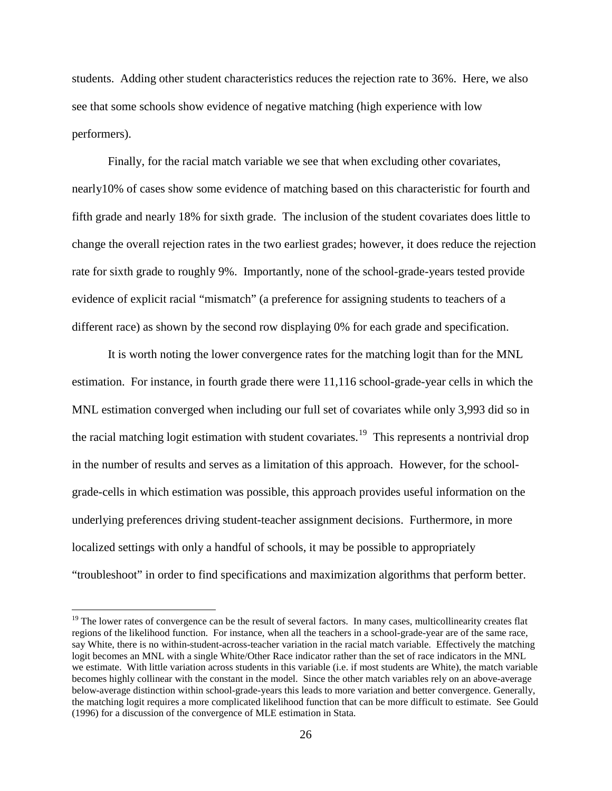students. Adding other student characteristics reduces the rejection rate to 36%. Here, we also see that some schools show evidence of negative matching (high experience with low performers).

Finally, for the racial match variable we see that when excluding other covariates, nearly10% of cases show some evidence of matching based on this characteristic for fourth and fifth grade and nearly 18% for sixth grade. The inclusion of the student covariates does little to change the overall rejection rates in the two earliest grades; however, it does reduce the rejection rate for sixth grade to roughly 9%. Importantly, none of the school-grade-years tested provide evidence of explicit racial "mismatch" (a preference for assigning students to teachers of a different race) as shown by the second row displaying 0% for each grade and specification.

It is worth noting the lower convergence rates for the matching logit than for the MNL estimation. For instance, in fourth grade there were 11,116 school-grade-year cells in which the MNL estimation converged when including our full set of covariates while only 3,993 did so in the racial matching logit estimation with student covariates.<sup>[19](#page-27-0)</sup> This represents a nontrivial drop in the number of results and serves as a limitation of this approach. However, for the schoolgrade-cells in which estimation was possible, this approach provides useful information on the underlying preferences driving student-teacher assignment decisions. Furthermore, in more localized settings with only a handful of schools, it may be possible to appropriately "troubleshoot" in order to find specifications and maximization algorithms that perform better.

<span id="page-27-0"></span> $19$  The lower rates of convergence can be the result of several factors. In many cases, multicollinearity creates flat regions of the likelihood function. For instance, when all the teachers in a school-grade-year are of the same race, say White, there is no within-student-across-teacher variation in the racial match variable. Effectively the matching logit becomes an MNL with a single White/Other Race indicator rather than the set of race indicators in the MNL we estimate. With little variation across students in this variable (i.e. if most students are White), the match variable becomes highly collinear with the constant in the model. Since the other match variables rely on an above-average below-average distinction within school-grade-years this leads to more variation and better convergence. Generally, the matching logit requires a more complicated likelihood function that can be more difficult to estimate. See Gould (1996) for a discussion of the convergence of MLE estimation in Stata.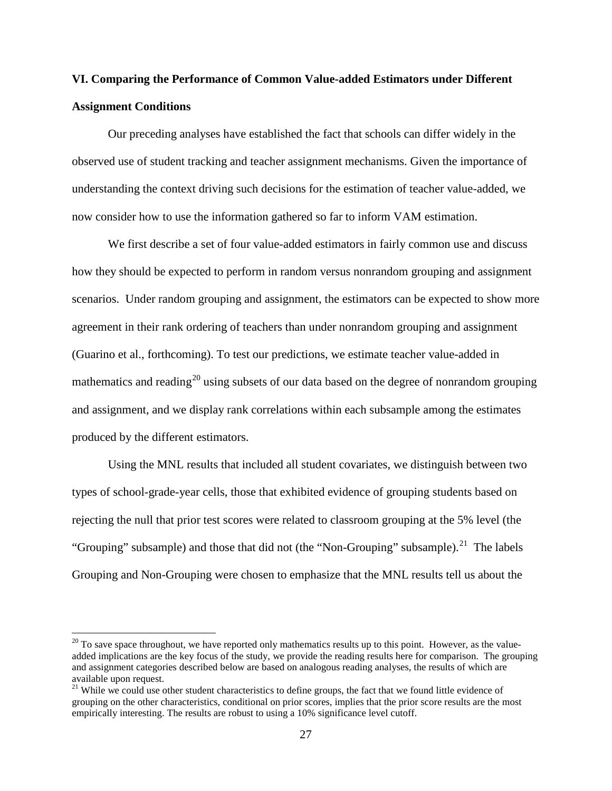# **VI. Comparing the Performance of Common Value-added Estimators under Different Assignment Conditions**

Our preceding analyses have established the fact that schools can differ widely in the observed use of student tracking and teacher assignment mechanisms. Given the importance of understanding the context driving such decisions for the estimation of teacher value-added, we now consider how to use the information gathered so far to inform VAM estimation.

We first describe a set of four value-added estimators in fairly common use and discuss how they should be expected to perform in random versus nonrandom grouping and assignment scenarios. Under random grouping and assignment, the estimators can be expected to show more agreement in their rank ordering of teachers than under nonrandom grouping and assignment (Guarino et al., forthcoming). To test our predictions, we estimate teacher value-added in mathematics and reading<sup>[20](#page-28-0)</sup> using subsets of our data based on the degree of nonrandom grouping and assignment, and we display rank correlations within each subsample among the estimates produced by the different estimators.

Using the MNL results that included all student covariates, we distinguish between two types of school-grade-year cells, those that exhibited evidence of grouping students based on rejecting the null that prior test scores were related to classroom grouping at the 5% level (the "Grouping" subsample) and those that did not (the "Non-Grouping" subsample).<sup>[21](#page-28-1)</sup> The labels Grouping and Non-Grouping were chosen to emphasize that the MNL results tell us about the

<span id="page-28-0"></span> $20$  To save space throughout, we have reported only mathematics results up to this point. However, as the valueadded implications are the key focus of the study, we provide the reading results here for comparison. The grouping and assignment categories described below are based on analogous reading analyses, the results of which are available upon request.

<span id="page-28-1"></span><sup>&</sup>lt;sup>21</sup> While we could use other student characteristics to define groups, the fact that we found little evidence of grouping on the other characteristics, conditional on prior scores, implies that the prior score results are the most empirically interesting. The results are robust to using a 10% significance level cutoff.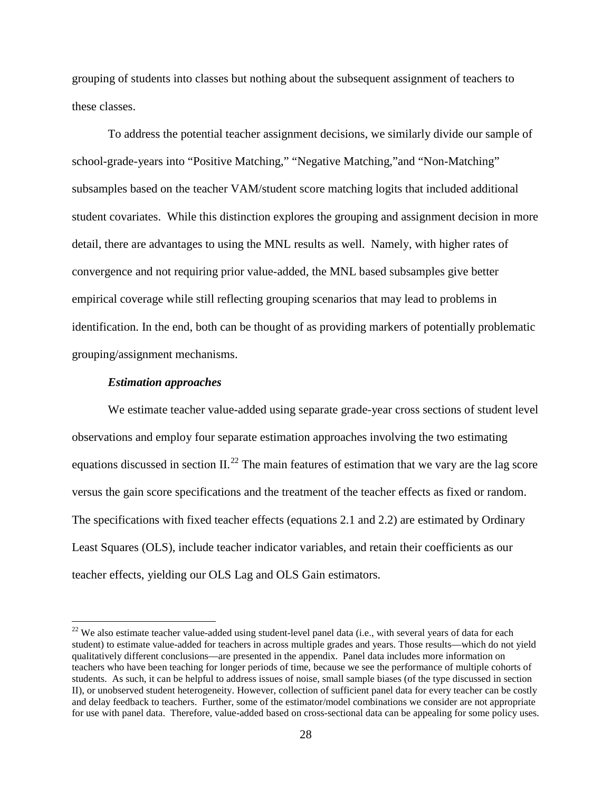grouping of students into classes but nothing about the subsequent assignment of teachers to these classes.

To address the potential teacher assignment decisions, we similarly divide our sample of school-grade-years into "Positive Matching," "Negative Matching,"and "Non-Matching" subsamples based on the teacher VAM/student score matching logits that included additional student covariates. While this distinction explores the grouping and assignment decision in more detail, there are advantages to using the MNL results as well. Namely, with higher rates of convergence and not requiring prior value-added, the MNL based subsamples give better empirical coverage while still reflecting grouping scenarios that may lead to problems in identification. In the end, both can be thought of as providing markers of potentially problematic grouping/assignment mechanisms.

#### *Estimation approaches*

We estimate teacher value-added using separate grade-year cross sections of student level observations and employ four separate estimation approaches involving the two estimating equations discussed in section II.<sup>[22](#page-29-0)</sup> The main features of estimation that we vary are the lag score versus the gain score specifications and the treatment of the teacher effects as fixed or random. The specifications with fixed teacher effects (equations 2.1 and 2.2) are estimated by Ordinary Least Squares (OLS), include teacher indicator variables, and retain their coefficients as our teacher effects, yielding our OLS Lag and OLS Gain estimators.

<span id="page-29-0"></span> $22$  We also estimate teacher value-added using student-level panel data (i.e., with several years of data for each student) to estimate value-added for teachers in across multiple grades and years. Those results—which do not yield qualitatively different conclusions—are presented in the appendix. Panel data includes more information on teachers who have been teaching for longer periods of time, because we see the performance of multiple cohorts of students. As such, it can be helpful to address issues of noise, small sample biases (of the type discussed in section II), or unobserved student heterogeneity. However, collection of sufficient panel data for every teacher can be costly and delay feedback to teachers. Further, some of the estimator/model combinations we consider are not appropriate for use with panel data. Therefore, value-added based on cross-sectional data can be appealing for some policy uses.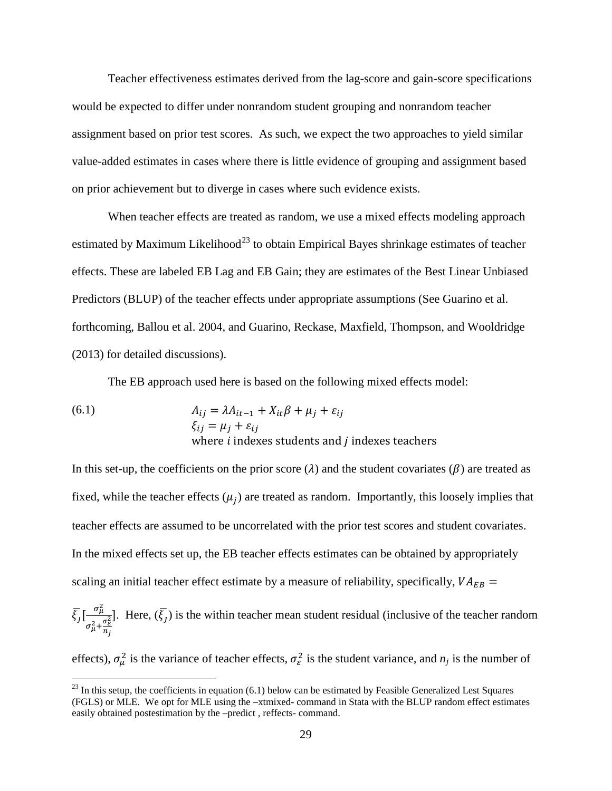Teacher effectiveness estimates derived from the lag-score and gain-score specifications would be expected to differ under nonrandom student grouping and nonrandom teacher assignment based on prior test scores. As such, we expect the two approaches to yield similar value-added estimates in cases where there is little evidence of grouping and assignment based on prior achievement but to diverge in cases where such evidence exists.

When teacher effects are treated as random, we use a mixed effects modeling approach estimated by Maximum Likelihood<sup>[23](#page-30-0)</sup> to obtain Empirical Bayes shrinkage estimates of teacher effects. These are labeled EB Lag and EB Gain; they are estimates of the Best Linear Unbiased Predictors (BLUP) of the teacher effects under appropriate assumptions (See Guarino et al. forthcoming, Ballou et al. 2004, and Guarino, Reckase, Maxfield, Thompson, and Wooldridge (2013) for detailed discussions).

The EB approach used here is based on the following mixed effects model:

(6.1) 
$$
A_{ij} = \lambda A_{it-1} + X_{it}\beta + \mu_j + \varepsilon_{ij}
$$

$$
\xi_{ij} = \mu_j + \varepsilon_{ij}
$$
where *i* indexes students and *j* indexes teachers

In this set-up, the coefficients on the prior score ( $\lambda$ ) and the student covariates ( $\beta$ ) are treated as fixed, while the teacher effects  $(\mu_i)$  are treated as random. Importantly, this loosely implies that teacher effects are assumed to be uncorrelated with the prior test scores and student covariates. In the mixed effects set up, the EB teacher effects estimates can be obtained by appropriately scaling an initial teacher effect estimate by a measure of reliability, specifically,  $VA_{EB}$  =

$$
\overline{\xi_j} \left[ \frac{\sigma_\mu^2}{\sigma_\mu^2 + \frac{\sigma_\epsilon^2}{n_j}} \right].
$$
 Here,  $(\overline{\xi_j})$  is the within teacher mean student residual (inclusive of the teacher random

effects),  $\sigma_{\mu}^2$  is the variance of teacher effects,  $\sigma_{\varepsilon}^2$  is the student variance, and  $n_j$  is the number of

<span id="page-30-0"></span> $^{23}$  In this setup, the coefficients in equation (6.1) below can be estimated by Feasible Generalized Lest Squares (FGLS) or MLE. We opt for MLE using the –xtmixed- command in Stata with the BLUP random effect estimates easily obtained postestimation by the –predict , reffects- command.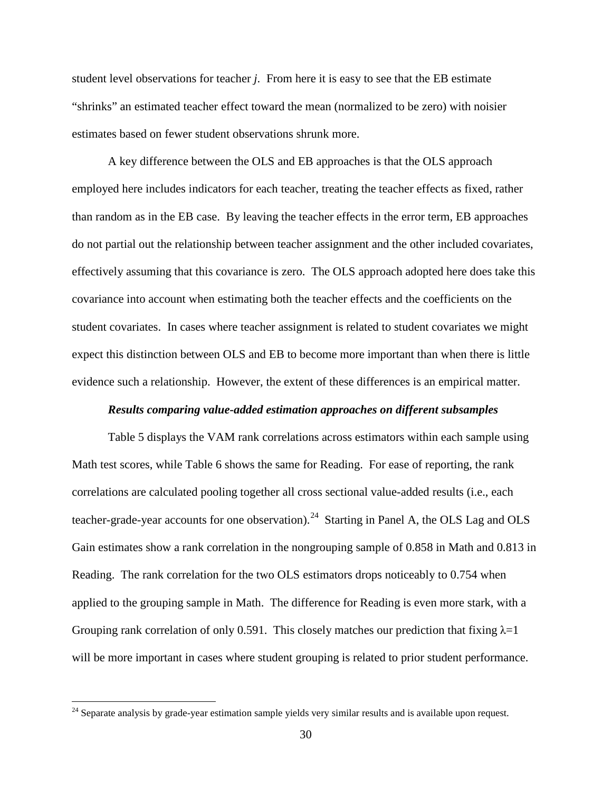student level observations for teacher *j*. From here it is easy to see that the EB estimate "shrinks" an estimated teacher effect toward the mean (normalized to be zero) with noisier estimates based on fewer student observations shrunk more.

A key difference between the OLS and EB approaches is that the OLS approach employed here includes indicators for each teacher, treating the teacher effects as fixed, rather than random as in the EB case. By leaving the teacher effects in the error term, EB approaches do not partial out the relationship between teacher assignment and the other included covariates, effectively assuming that this covariance is zero. The OLS approach adopted here does take this covariance into account when estimating both the teacher effects and the coefficients on the student covariates. In cases where teacher assignment is related to student covariates we might expect this distinction between OLS and EB to become more important than when there is little evidence such a relationship. However, the extent of these differences is an empirical matter.

#### *Results comparing value-added estimation approaches on different subsamples*

Table 5 displays the VAM rank correlations across estimators within each sample using Math test scores, while Table 6 shows the same for Reading. For ease of reporting, the rank correlations are calculated pooling together all cross sectional value-added results (i.e., each teacher-grade-year accounts for one observation).<sup>24</sup> Starting in Panel A, the OLS Lag and OLS Gain estimates show a rank correlation in the nongrouping sample of 0.858 in Math and 0.813 in Reading. The rank correlation for the two OLS estimators drops noticeably to 0.754 when applied to the grouping sample in Math. The difference for Reading is even more stark, with a Grouping rank correlation of only 0.591. This closely matches our prediction that fixing  $\lambda=1$ will be more important in cases where student grouping is related to prior student performance.

<span id="page-31-0"></span><sup>&</sup>lt;sup>24</sup> Separate analysis by grade-year estimation sample yields very similar results and is available upon request.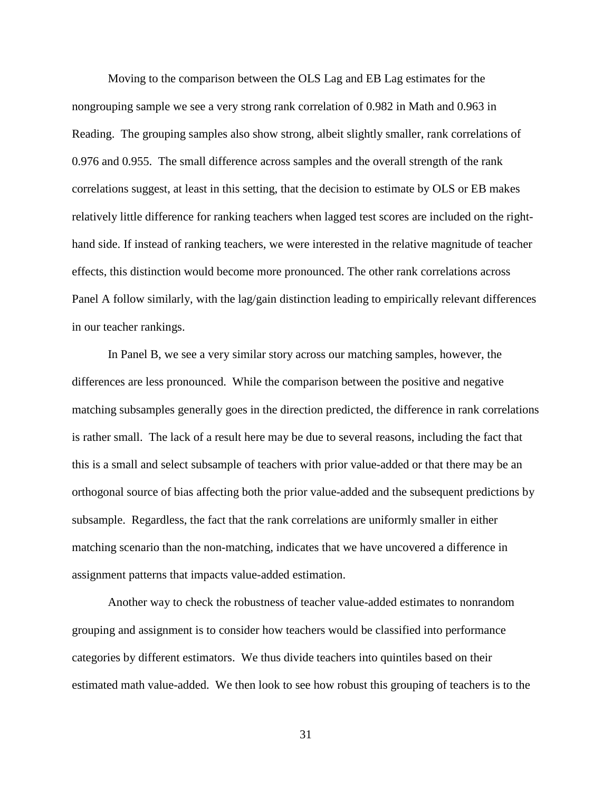Moving to the comparison between the OLS Lag and EB Lag estimates for the nongrouping sample we see a very strong rank correlation of 0.982 in Math and 0.963 in Reading. The grouping samples also show strong, albeit slightly smaller, rank correlations of 0.976 and 0.955. The small difference across samples and the overall strength of the rank correlations suggest, at least in this setting, that the decision to estimate by OLS or EB makes relatively little difference for ranking teachers when lagged test scores are included on the righthand side. If instead of ranking teachers, we were interested in the relative magnitude of teacher effects, this distinction would become more pronounced. The other rank correlations across Panel A follow similarly, with the lag/gain distinction leading to empirically relevant differences in our teacher rankings.

In Panel B, we see a very similar story across our matching samples, however, the differences are less pronounced. While the comparison between the positive and negative matching subsamples generally goes in the direction predicted, the difference in rank correlations is rather small. The lack of a result here may be due to several reasons, including the fact that this is a small and select subsample of teachers with prior value-added or that there may be an orthogonal source of bias affecting both the prior value-added and the subsequent predictions by subsample. Regardless, the fact that the rank correlations are uniformly smaller in either matching scenario than the non-matching, indicates that we have uncovered a difference in assignment patterns that impacts value-added estimation.

Another way to check the robustness of teacher value-added estimates to nonrandom grouping and assignment is to consider how teachers would be classified into performance categories by different estimators. We thus divide teachers into quintiles based on their estimated math value-added. We then look to see how robust this grouping of teachers is to the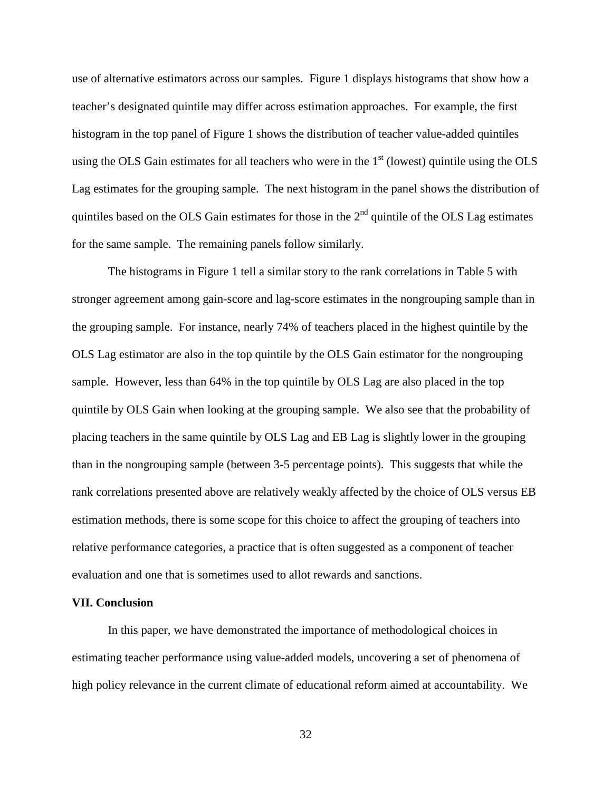use of alternative estimators across our samples. Figure 1 displays histograms that show how a teacher's designated quintile may differ across estimation approaches. For example, the first histogram in the top panel of Figure 1 shows the distribution of teacher value-added quintiles using the OLS Gain estimates for all teachers who were in the  $1<sup>st</sup>$  (lowest) quintile using the OLS Lag estimates for the grouping sample. The next histogram in the panel shows the distribution of quintiles based on the OLS Gain estimates for those in the  $2<sup>nd</sup>$  quintile of the OLS Lag estimates for the same sample. The remaining panels follow similarly.

The histograms in Figure 1 tell a similar story to the rank correlations in Table 5 with stronger agreement among gain-score and lag-score estimates in the nongrouping sample than in the grouping sample. For instance, nearly 74% of teachers placed in the highest quintile by the OLS Lag estimator are also in the top quintile by the OLS Gain estimator for the nongrouping sample. However, less than 64% in the top quintile by OLS Lag are also placed in the top quintile by OLS Gain when looking at the grouping sample. We also see that the probability of placing teachers in the same quintile by OLS Lag and EB Lag is slightly lower in the grouping than in the nongrouping sample (between 3-5 percentage points). This suggests that while the rank correlations presented above are relatively weakly affected by the choice of OLS versus EB estimation methods, there is some scope for this choice to affect the grouping of teachers into relative performance categories, a practice that is often suggested as a component of teacher evaluation and one that is sometimes used to allot rewards and sanctions.

#### **VII. Conclusion**

In this paper, we have demonstrated the importance of methodological choices in estimating teacher performance using value-added models, uncovering a set of phenomena of high policy relevance in the current climate of educational reform aimed at accountability. We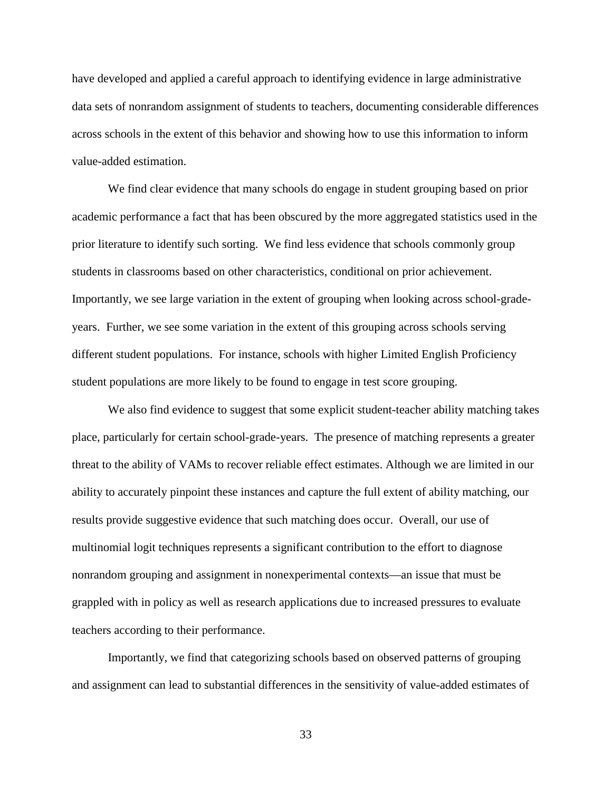have developed and applied a careful approach to identifying evidence in large administrative data sets of nonrandom assignment of students to teachers, documenting considerable differences across schools in the extent of this behavior and showing how to use this information to inform value-added estimation.

We find clear evidence that many schools do engage in student grouping based on prior academic performance a fact that has been obscured by the more aggregated statistics used in the prior literature to identify such sorting. We find less evidence that schools commonly group students in classrooms based on other characteristics, conditional on prior achievement. Importantly, we see large variation in the extent of grouping when looking across school-gradeyears. Further, we see some variation in the extent of this grouping across schools serving different student populations. For instance, schools with higher Limited English Proficiency student populations are more likely to be found to engage in test score grouping.

We also find evidence to suggest that some explicit student-teacher ability matching takes place, particularly for certain school-grade-years. The presence of matching represents a greater threat to the ability of VAMs to recover reliable effect estimates. Although we are limited in our ability to accurately pinpoint these instances and capture the full extent of ability matching, our results provide suggestive evidence that such matching does occur. Overall, our use of multinomial logit techniques represents a significant contribution to the effort to diagnose nonrandom grouping and assignment in nonexperimental contexts—an issue that must be grappled with in policy as well as research applications due to increased pressures to evaluate teachers according to their performance.

Importantly, we find that categorizing schools based on observed patterns of grouping and assignment can lead to substantial differences in the sensitivity of value-added estimates of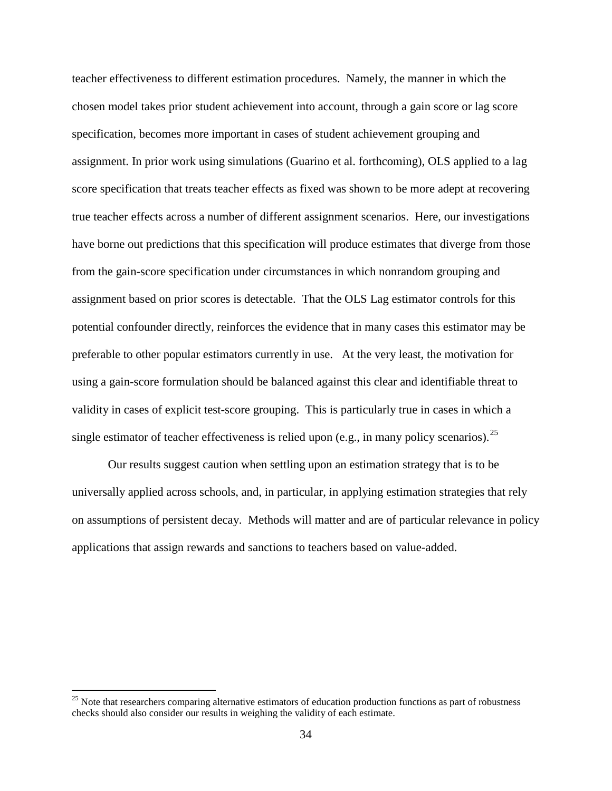teacher effectiveness to different estimation procedures. Namely, the manner in which the chosen model takes prior student achievement into account, through a gain score or lag score specification, becomes more important in cases of student achievement grouping and assignment. In prior work using simulations (Guarino et al. forthcoming), OLS applied to a lag score specification that treats teacher effects as fixed was shown to be more adept at recovering true teacher effects across a number of different assignment scenarios. Here, our investigations have borne out predictions that this specification will produce estimates that diverge from those from the gain-score specification under circumstances in which nonrandom grouping and assignment based on prior scores is detectable. That the OLS Lag estimator controls for this potential confounder directly, reinforces the evidence that in many cases this estimator may be preferable to other popular estimators currently in use. At the very least, the motivation for using a gain-score formulation should be balanced against this clear and identifiable threat to validity in cases of explicit test-score grouping. This is particularly true in cases in which a single estimator of teacher effectiveness is relied upon (e.g., in many policy scenarios).  $^{25}$  $^{25}$  $^{25}$ 

Our results suggest caution when settling upon an estimation strategy that is to be universally applied across schools, and, in particular, in applying estimation strategies that rely on assumptions of persistent decay. Methods will matter and are of particular relevance in policy applications that assign rewards and sanctions to teachers based on value-added.

<span id="page-35-0"></span> $25$  Note that researchers comparing alternative estimators of education production functions as part of robustness checks should also consider our results in weighing the validity of each estimate.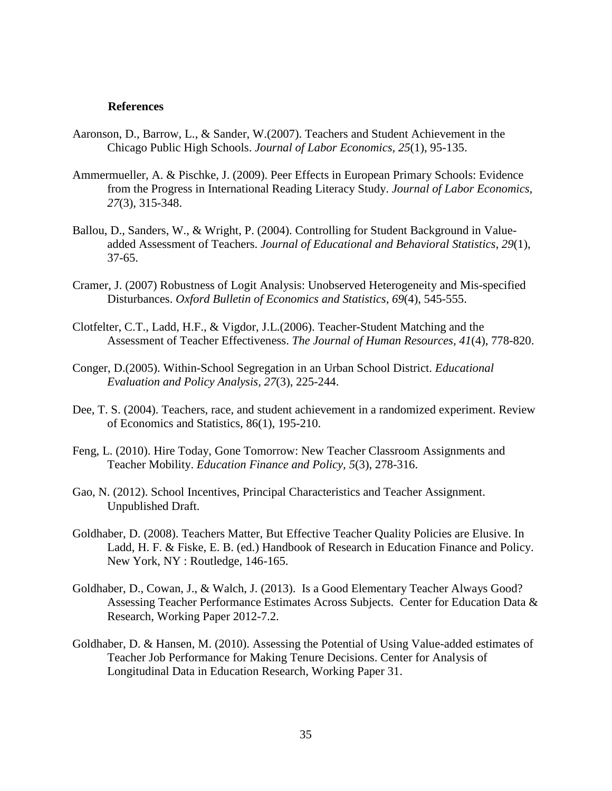#### **References**

- Aaronson, D., Barrow, L., & Sander, W.(2007). Teachers and Student Achievement in the Chicago Public High Schools. *Journal of Labor Economics, 25*(1), 95-135.
- Ammermueller, A. & Pischke, J. (2009). Peer Effects in European Primary Schools: Evidence from the Progress in International Reading Literacy Study. *Journal of Labor Economics, 27*(3), 315-348.
- Ballou, D., Sanders, W., & Wright, P. (2004). Controlling for Student Background in Valueadded Assessment of Teachers. *Journal of Educational and Behavioral Statistics, 29*(1), 37-65.
- Cramer, J. (2007) Robustness of Logit Analysis: Unobserved Heterogeneity and Mis-specified Disturbances. *Oxford Bulletin of Economics and Statistics, 69*(4), 545-555.
- Clotfelter, C.T., Ladd, H.F., & Vigdor, J.L.(2006). Teacher-Student Matching and the Assessment of Teacher Effectiveness. *The Journal of Human Resources, 41*(4), 778-820.
- Conger, D.(2005). Within-School Segregation in an Urban School District. *Educational Evaluation and Policy Analysis, 27*(3), 225-244.
- Dee, T. S. (2004). Teachers, race, and student achievement in a randomized experiment. Review of Economics and Statistics, 86(1), 195-210.
- Feng, L. (2010). Hire Today, Gone Tomorrow: New Teacher Classroom Assignments and Teacher Mobility. *Education Finance and Policy, 5*(3), 278-316.
- Gao, N. (2012). School Incentives, Principal Characteristics and Teacher Assignment. Unpublished Draft.
- Goldhaber, D. (2008). Teachers Matter, But Effective Teacher Quality Policies are Elusive. In Ladd, H. F. & Fiske, E. B. (ed.) Handbook of Research in Education Finance and Policy. New York, NY : Routledge, 146-165.
- Goldhaber, D., Cowan, J., & Walch, J. (2013). Is a Good Elementary Teacher Always Good? Assessing Teacher Performance Estimates Across Subjects. Center for Education Data & Research, Working Paper 2012-7.2.
- Goldhaber, D. & Hansen, M. (2010). Assessing the Potential of Using Value-added estimates of Teacher Job Performance for Making Tenure Decisions. Center for Analysis of Longitudinal Data in Education Research, Working Paper 31.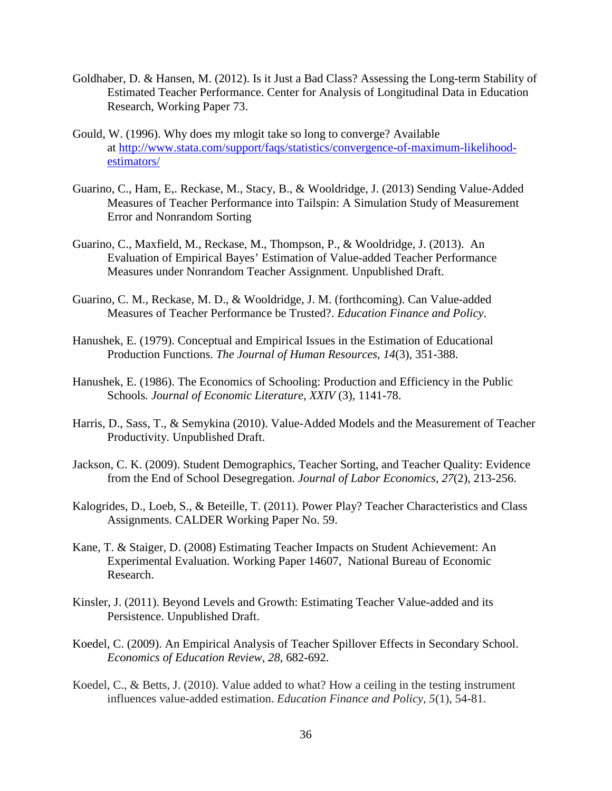- Goldhaber, D. & Hansen, M. (2012). Is it Just a Bad Class? Assessing the Long-term Stability of Estimated Teacher Performance. Center for Analysis of Longitudinal Data in Education Research, Working Paper 73.
- Gould, W. (1996). Why does my mlogit take so long to converge? Available at [http://www.stata.com/support/faqs/statistics/convergence-of-maximum-likelihood](http://www.stata.com/support/faqs/statistics/convergence-of-maximum-likelihood-estimators/)[estimators/](http://www.stata.com/support/faqs/statistics/convergence-of-maximum-likelihood-estimators/)
- Guarino, C., Ham, E,. Reckase, M., Stacy, B., & Wooldridge, J. (2013) Sending Value-Added Measures of Teacher Performance into Tailspin: A Simulation Study of Measurement Error and Nonrandom Sorting
- Guarino, C., Maxfield, M., Reckase, M., Thompson, P., & Wooldridge, J. (2013). An Evaluation of Empirical Bayes' Estimation of Value-added Teacher Performance Measures under Nonrandom Teacher Assignment. Unpublished Draft.
- Guarino, C. M., Reckase, M. D., & Wooldridge, J. M. (forthcoming). Can Value-added Measures of Teacher Performance be Trusted?. *Education Finance and Policy*.
- Hanushek, E. (1979). Conceptual and Empirical Issues in the Estimation of Educational Production Functions. *The Journal of Human Resources, 14*(3), 351-388.
- Hanushek, E. (1986). The Economics of Schooling: Production and Efficiency in the Public Schools*. Journal of Economic Literature, XXIV* (3), 1141-78.
- Harris, D., Sass, T., & Semykina (2010). Value-Added Models and the Measurement of Teacher Productivity. Unpublished Draft.
- Jackson, C. K. (2009). Student Demographics, Teacher Sorting, and Teacher Quality: Evidence from the End of School Desegregation. *Journal of Labor Economics, 27*(2), 213-256.
- Kalogrides, D., Loeb, S., & Beteille, T. (2011). Power Play? Teacher Characteristics and Class Assignments. CALDER Working Paper No. 59.
- Kane, T. & Staiger, D. (2008) Estimating Teacher Impacts on Student Achievement: An Experimental Evaluation. Working Paper 14607, National Bureau of Economic Research.
- Kinsler, J. (2011). Beyond Levels and Growth: Estimating Teacher Value-added and its Persistence. Unpublished Draft.
- Koedel, C. (2009). An Empirical Analysis of Teacher Spillover Effects in Secondary School. *Economics of Education Review, 28*, 682-692.
- Koedel, C., & Betts, J. (2010). Value added to what? How a ceiling in the testing instrument influences value-added estimation. *Education Finance and Policy*, *5*(1), 54-81.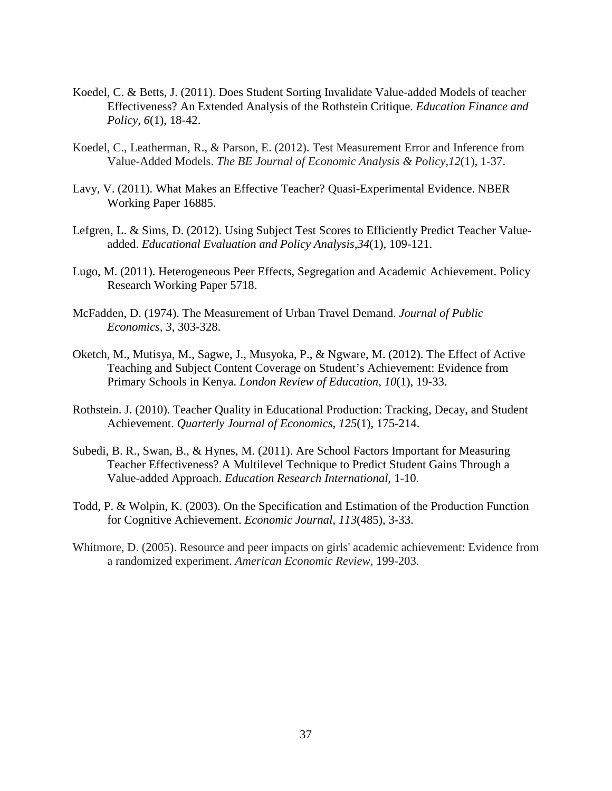- Koedel, C. & Betts, J. (2011). Does Student Sorting Invalidate Value-added Models of teacher Effectiveness? An Extended Analysis of the Rothstein Critique. *Education Finance and Policy, 6*(1), 18-42.
- Koedel, C., Leatherman, R., & Parson, E. (2012). Test Measurement Error and Inference from Value-Added Models. *The BE Journal of Economic Analysis & Policy*,*12*(1), 1-37.
- Lavy, V. (2011). What Makes an Effective Teacher? Quasi-Experimental Evidence. NBER Working Paper 16885.
- Lefgren, L. & Sims, D. (2012). Using Subject Test Scores to Efficiently Predict Teacher Valueadded. *Educational Evaluation and Policy Analysis,34*(1), 109-121.
- Lugo, M. (2011). Heterogeneous Peer Effects, Segregation and Academic Achievement. Policy Research Working Paper 5718.
- McFadden, D. (1974). The Measurement of Urban Travel Demand. *Journal of Public Economics, 3*, 303-328.
- Oketch, M., Mutisya, M., Sagwe, J., Musyoka, P., & Ngware, M. (2012). The Effect of Active Teaching and Subject Content Coverage on Student's Achievement: Evidence from Primary Schools in Kenya. *London Review of Education, 10*(1), 19-33.
- Rothstein. J. (2010). Teacher Quality in Educational Production: Tracking, Decay, and Student Achievement. *Quarterly Journal of Economics, 125*(1), 175-214.
- Subedi, B. R., Swan, B., & Hynes, M. (2011). Are School Factors Important for Measuring Teacher Effectiveness? A Multilevel Technique to Predict Student Gains Through a Value-added Approach. *Education Research International,* 1-10.
- Todd, P. & Wolpin, K. (2003). On the Specification and Estimation of the Production Function for Cognitive Achievement. *Economic Journal, 113*(485), 3-33.
- Whitmore, D. (2005). Resource and peer impacts on girls' academic achievement: Evidence from a randomized experiment. *American Economic Review*, 199-203.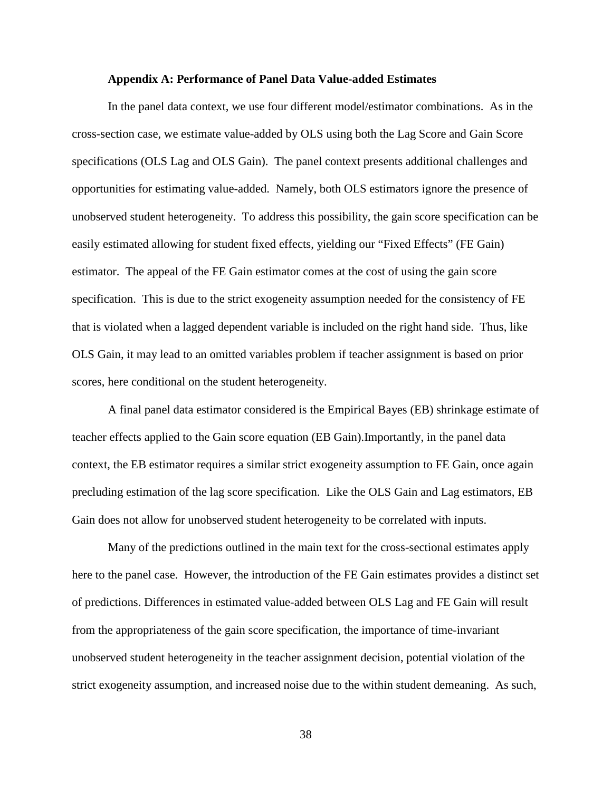#### **Appendix A: Performance of Panel Data Value-added Estimates**

In the panel data context, we use four different model/estimator combinations. As in the cross-section case, we estimate value-added by OLS using both the Lag Score and Gain Score specifications (OLS Lag and OLS Gain). The panel context presents additional challenges and opportunities for estimating value-added. Namely, both OLS estimators ignore the presence of unobserved student heterogeneity. To address this possibility, the gain score specification can be easily estimated allowing for student fixed effects, yielding our "Fixed Effects" (FE Gain) estimator. The appeal of the FE Gain estimator comes at the cost of using the gain score specification. This is due to the strict exogeneity assumption needed for the consistency of FE that is violated when a lagged dependent variable is included on the right hand side. Thus, like OLS Gain, it may lead to an omitted variables problem if teacher assignment is based on prior scores, here conditional on the student heterogeneity.

A final panel data estimator considered is the Empirical Bayes (EB) shrinkage estimate of teacher effects applied to the Gain score equation (EB Gain).Importantly, in the panel data context, the EB estimator requires a similar strict exogeneity assumption to FE Gain, once again precluding estimation of the lag score specification. Like the OLS Gain and Lag estimators, EB Gain does not allow for unobserved student heterogeneity to be correlated with inputs.

Many of the predictions outlined in the main text for the cross-sectional estimates apply here to the panel case. However, the introduction of the FE Gain estimates provides a distinct set of predictions. Differences in estimated value-added between OLS Lag and FE Gain will result from the appropriateness of the gain score specification, the importance of time-invariant unobserved student heterogeneity in the teacher assignment decision, potential violation of the strict exogeneity assumption, and increased noise due to the within student demeaning. As such,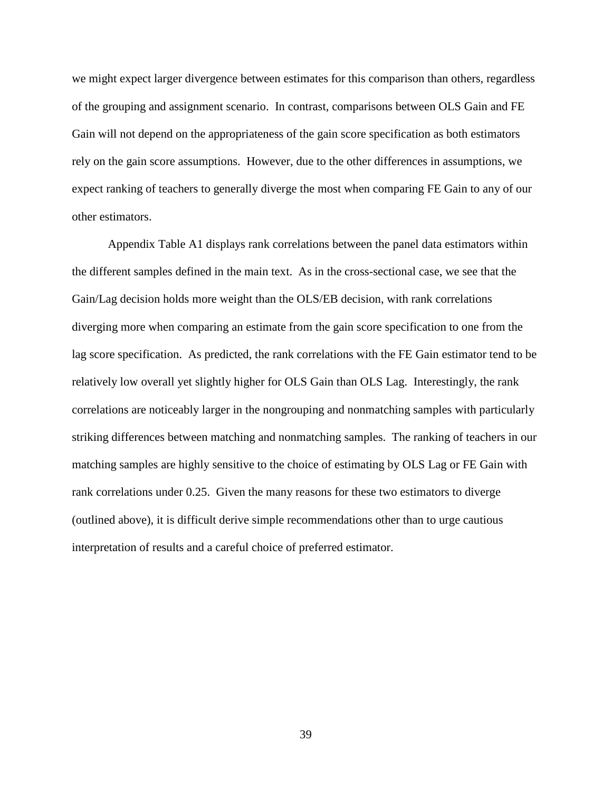we might expect larger divergence between estimates for this comparison than others, regardless of the grouping and assignment scenario. In contrast, comparisons between OLS Gain and FE Gain will not depend on the appropriateness of the gain score specification as both estimators rely on the gain score assumptions. However, due to the other differences in assumptions, we expect ranking of teachers to generally diverge the most when comparing FE Gain to any of our other estimators.

Appendix Table A1 displays rank correlations between the panel data estimators within the different samples defined in the main text. As in the cross-sectional case, we see that the Gain/Lag decision holds more weight than the OLS/EB decision, with rank correlations diverging more when comparing an estimate from the gain score specification to one from the lag score specification. As predicted, the rank correlations with the FE Gain estimator tend to be relatively low overall yet slightly higher for OLS Gain than OLS Lag. Interestingly, the rank correlations are noticeably larger in the nongrouping and nonmatching samples with particularly striking differences between matching and nonmatching samples. The ranking of teachers in our matching samples are highly sensitive to the choice of estimating by OLS Lag or FE Gain with rank correlations under 0.25. Given the many reasons for these two estimators to diverge (outlined above), it is difficult derive simple recommendations other than to urge cautious interpretation of results and a careful choice of preferred estimator.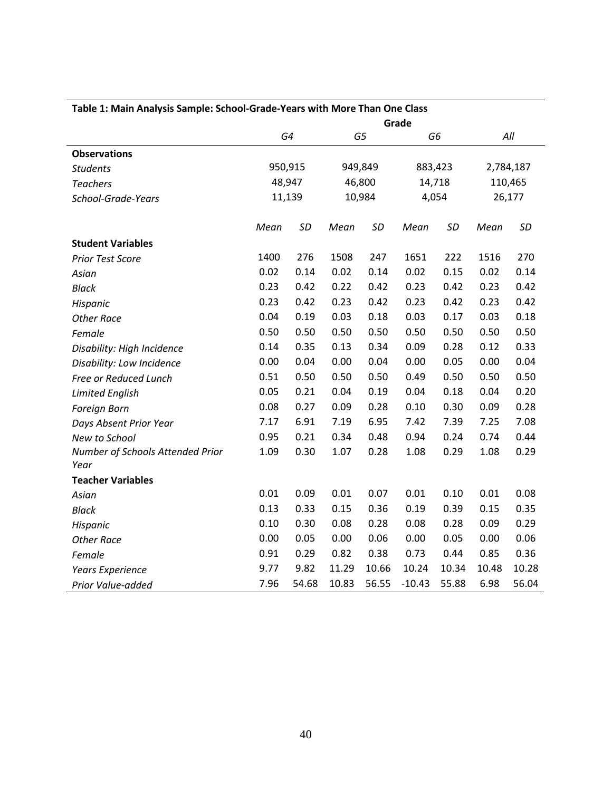| Table 1: Main Analysis Sample: School-Grade-Years with More Than One Class |        |           |         |           |                |           |           |        |  |
|----------------------------------------------------------------------------|--------|-----------|---------|-----------|----------------|-----------|-----------|--------|--|
|                                                                            | Grade  |           |         |           |                |           |           |        |  |
|                                                                            |        | G4        |         | G5        | G <sub>6</sub> |           | All       |        |  |
| <b>Observations</b>                                                        |        |           |         |           |                |           |           |        |  |
| <b>Students</b>                                                            |        | 950,915   | 949,849 |           | 883,423        |           | 2,784,187 |        |  |
| <b>Teachers</b>                                                            |        | 48,947    |         | 46,800    | 14,718         |           | 110,465   |        |  |
| School-Grade-Years                                                         | 11,139 |           | 10,984  |           | 4,054          |           |           | 26,177 |  |
|                                                                            | Mean   | <b>SD</b> | Mean    | <b>SD</b> | Mean           | <b>SD</b> | Mean      | SD     |  |
| <b>Student Variables</b>                                                   |        |           |         |           |                |           |           |        |  |
| Prior Test Score                                                           | 1400   | 276       | 1508    | 247       | 1651           | 222       | 1516      | 270    |  |
| Asian                                                                      | 0.02   | 0.14      | 0.02    | 0.14      | 0.02           | 0.15      | 0.02      | 0.14   |  |
| <b>Black</b>                                                               | 0.23   | 0.42      | 0.22    | 0.42      | 0.23           | 0.42      | 0.23      | 0.42   |  |
| Hispanic                                                                   | 0.23   | 0.42      | 0.23    | 0.42      | 0.23           | 0.42      | 0.23      | 0.42   |  |
| <b>Other Race</b>                                                          | 0.04   | 0.19      | 0.03    | 0.18      | 0.03           | 0.17      | 0.03      | 0.18   |  |
| Female                                                                     | 0.50   | 0.50      | 0.50    | 0.50      | 0.50           | 0.50      | 0.50      | 0.50   |  |
| Disability: High Incidence                                                 | 0.14   | 0.35      | 0.13    | 0.34      | 0.09           | 0.28      | 0.12      | 0.33   |  |
| Disability: Low Incidence                                                  | 0.00   | 0.04      | 0.00    | 0.04      | 0.00           | 0.05      | 0.00      | 0.04   |  |
| Free or Reduced Lunch                                                      | 0.51   | 0.50      | 0.50    | 0.50      | 0.49           | 0.50      | 0.50      | 0.50   |  |
| <b>Limited English</b>                                                     | 0.05   | 0.21      | 0.04    | 0.19      | 0.04           | 0.18      | 0.04      | 0.20   |  |
| Foreign Born                                                               | 0.08   | 0.27      | 0.09    | 0.28      | 0.10           | 0.30      | 0.09      | 0.28   |  |
| Days Absent Prior Year                                                     | 7.17   | 6.91      | 7.19    | 6.95      | 7.42           | 7.39      | 7.25      | 7.08   |  |
| New to School                                                              | 0.95   | 0.21      | 0.34    | 0.48      | 0.94           | 0.24      | 0.74      | 0.44   |  |
| Number of Schools Attended Prior                                           | 1.09   | 0.30      | 1.07    | 0.28      | 1.08           | 0.29      | 1.08      | 0.29   |  |
| Year                                                                       |        |           |         |           |                |           |           |        |  |
| <b>Teacher Variables</b>                                                   |        |           |         |           |                |           |           |        |  |
| Asian                                                                      | 0.01   | 0.09      | 0.01    | 0.07      | 0.01           | 0.10      | 0.01      | 0.08   |  |
| <b>Black</b>                                                               | 0.13   | 0.33      | 0.15    | 0.36      | 0.19           | 0.39      | 0.15      | 0.35   |  |
| Hispanic                                                                   | 0.10   | 0.30      | 0.08    | 0.28      | 0.08           | 0.28      | 0.09      | 0.29   |  |
| <b>Other Race</b>                                                          | 0.00   | 0.05      | 0.00    | 0.06      | 0.00           | 0.05      | 0.00      | 0.06   |  |
| Female                                                                     | 0.91   | 0.29      | 0.82    | 0.38      | 0.73           | 0.44      | 0.85      | 0.36   |  |
| <b>Years Experience</b>                                                    | 9.77   | 9.82      | 11.29   | 10.66     | 10.24          | 10.34     | 10.48     | 10.28  |  |
| Prior Value-added                                                          | 7.96   | 54.68     | 10.83   | 56.55     | $-10.43$       | 55.88     | 6.98      | 56.04  |  |

## **Table 1: Main Analysis Sample: School-Grade-Years with More Than One Class**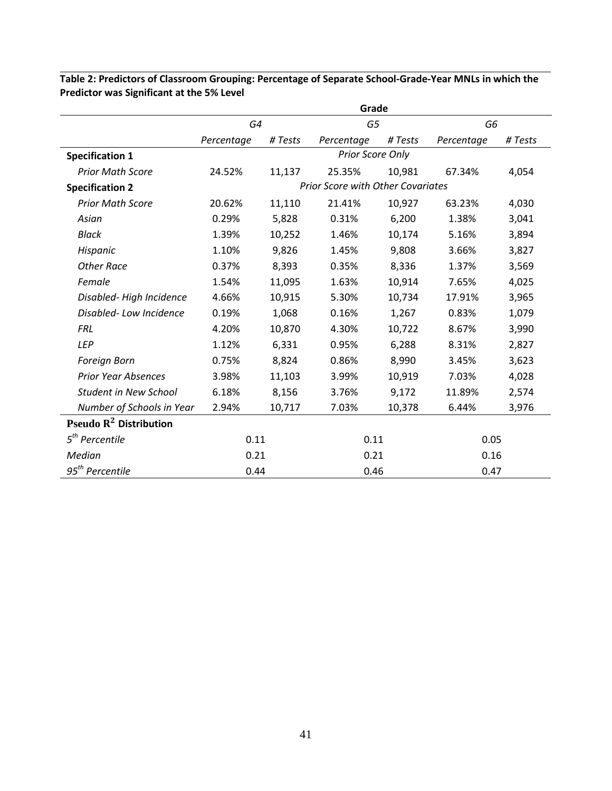|                              |            |         | Grade                                    |         |                |         |
|------------------------------|------------|---------|------------------------------------------|---------|----------------|---------|
|                              | G4         |         | G5                                       |         | G <sub>6</sub> |         |
|                              | Percentage | # Tests | Percentage                               | # Tests | Percentage     | # Tests |
| <b>Specification 1</b>       |            |         | Prior Score Only                         |         |                |         |
| <b>Prior Math Score</b>      | 24.52%     | 11,137  | 25.35%                                   | 10,981  | 67.34%         | 4,054   |
| <b>Specification 2</b>       |            |         | <b>Prior Score with Other Covariates</b> |         |                |         |
| <b>Prior Math Score</b>      | 20.62%     | 11,110  | 21.41%                                   | 10,927  | 63.23%         | 4,030   |
| Asian                        | 0.29%      | 5,828   | 0.31%                                    | 6,200   | 1.38%          | 3,041   |
| <b>Black</b>                 | 1.39%      | 10,252  | 1.46%                                    | 10,174  | 5.16%          | 3,894   |
| Hispanic                     | 1.10%      | 9,826   | 1.45%                                    | 9,808   | 3.66%          | 3,827   |
| <b>Other Race</b>            | 0.37%      | 8,393   | 0.35%                                    | 8,336   | 1.37%          | 3,569   |
| Female                       | 1.54%      | 11,095  | 1.63%                                    | 10,914  | 7.65%          | 4,025   |
| Disabled-High Incidence      | 4.66%      | 10,915  | 5.30%                                    | 10,734  | 17.91%         | 3,965   |
| Disabled-Low Incidence       | 0.19%      | 1,068   | 0.16%                                    | 1,267   | 0.83%          | 1,079   |
| <b>FRL</b>                   | 4.20%      | 10,870  | 4.30%                                    | 10,722  | 8.67%          | 3,990   |
| <b>LEP</b>                   | 1.12%      | 6,331   | 0.95%                                    | 6,288   | 8.31%          | 2,827   |
| Foreign Born                 | 0.75%      | 8,824   | 0.86%                                    | 8,990   | 3.45%          | 3,623   |
| <b>Prior Year Absences</b>   | 3.98%      | 11,103  | 3.99%                                    | 10,919  | 7.03%          | 4,028   |
| <b>Student in New School</b> | 6.18%      | 8,156   | 3.76%                                    | 9,172   | 11.89%         | 2,574   |
| Number of Schools in Year    | 2.94%      | 10,717  | 7.03%                                    | 10,378  | 6.44%          | 3,976   |
| Pseudo $R^2$ Distribution    |            |         |                                          |         |                |         |
| $5th$ Percentile             | 0.11       |         | 0.11                                     |         | 0.05           |         |
| Median                       | 0.21       |         | 0.21                                     |         | 0.16           |         |
| 95 <sup>th</sup> Percentile  | 0.44       |         | 0.46                                     |         | 0.47           |         |

**Table 2: Predictors of Classroom Grouping: Percentage of Separate School-Grade-Year MNLs in which the Predictor was Significant at the 5% Level**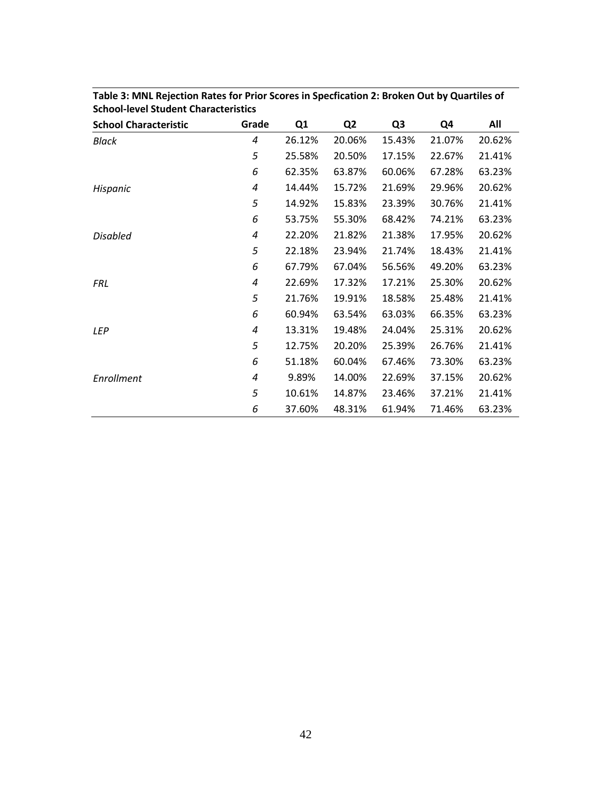| <b>School Characteristic</b> | Grade | Q1     | Q <sub>2</sub> | Q <sub>3</sub> | Q4     | All    |
|------------------------------|-------|--------|----------------|----------------|--------|--------|
| <b>Black</b>                 | 4     | 26.12% | 20.06%         | 15.43%         | 21.07% | 20.62% |
|                              | 5     | 25.58% | 20.50%         | 17.15%         | 22.67% | 21.41% |
|                              | 6     | 62.35% | 63.87%         | 60.06%         | 67.28% | 63.23% |
| Hispanic                     | 4     | 14.44% | 15.72%         | 21.69%         | 29.96% | 20.62% |
|                              | 5     | 14.92% | 15.83%         | 23.39%         | 30.76% | 21.41% |
|                              | 6     | 53.75% | 55.30%         | 68.42%         | 74.21% | 63.23% |
| <b>Disabled</b>              | 4     | 22.20% | 21.82%         | 21.38%         | 17.95% | 20.62% |
|                              | 5     | 22.18% | 23.94%         | 21.74%         | 18.43% | 21.41% |
|                              | 6     | 67.79% | 67.04%         | 56.56%         | 49.20% | 63.23% |
| <b>FRL</b>                   | 4     | 22.69% | 17.32%         | 17.21%         | 25.30% | 20.62% |
|                              | 5     | 21.76% | 19.91%         | 18.58%         | 25.48% | 21.41% |
|                              | 6     | 60.94% | 63.54%         | 63.03%         | 66.35% | 63.23% |
| <b>LEP</b>                   | 4     | 13.31% | 19.48%         | 24.04%         | 25.31% | 20.62% |
|                              | 5     | 12.75% | 20.20%         | 25.39%         | 26.76% | 21.41% |
|                              | 6     | 51.18% | 60.04%         | 67.46%         | 73.30% | 63.23% |
| Enrollment                   | 4     | 9.89%  | 14.00%         | 22.69%         | 37.15% | 20.62% |
|                              | 5     | 10.61% | 14.87%         | 23.46%         | 37.21% | 21.41% |
|                              | 6     | 37.60% | 48.31%         | 61.94%         | 71.46% | 63.23% |

**Table 3: MNL Rejection Rates for Prior Scores in Specfication 2: Broken Out by Quartiles of School-level Student Characteristics**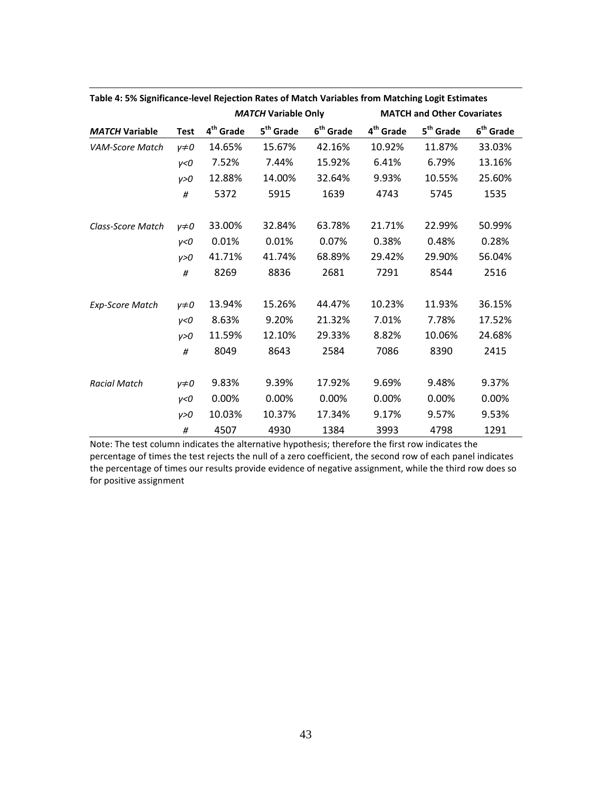|                        |              |                       | <b>MATCH Variable Only</b> |                       |                       | <b>MATCH and Other Covariates</b> |                       |
|------------------------|--------------|-----------------------|----------------------------|-----------------------|-----------------------|-----------------------------------|-----------------------|
| <b>MATCH Variable</b>  | <b>Test</b>  | 4 <sup>th</sup> Grade | 5 <sup>th</sup> Grade      | 6 <sup>th</sup> Grade | 4 <sup>th</sup> Grade | 5 <sup>th</sup> Grade             | 6 <sup>th</sup> Grade |
| <b>VAM-Score Match</b> | $\nu \neq 0$ | 14.65%                | 15.67%                     | 42.16%                | 10.92%                | 11.87%                            | 33.03%                |
|                        | v<0          | 7.52%                 | 7.44%                      | 15.92%                | 6.41%                 | 6.79%                             | 13.16%                |
|                        | v > 0        | 12.88%                | 14.00%                     | 32.64%                | 9.93%                 | 10.55%                            | 25.60%                |
|                        | #            | 5372                  | 5915                       | 1639                  | 4743                  | 5745                              | 1535                  |
| Class-Score Match      | $\nu \neq 0$ | 33.00%                | 32.84%                     | 63.78%                | 21.71%                | 22.99%                            | 50.99%                |
|                        | v<0          | 0.01%                 | 0.01%                      | 0.07%                 | 0.38%                 | 0.48%                             | 0.28%                 |
|                        | v > 0        | 41.71%                | 41.74%                     | 68.89%                | 29.42%                | 29.90%                            | 56.04%                |
|                        | $\#$         | 8269                  | 8836                       | 2681                  | 7291                  | 8544                              | 2516                  |
| <b>Exp-Score Match</b> | $y\neq 0$    | 13.94%                | 15.26%                     | 44.47%                | 10.23%                | 11.93%                            | 36.15%                |
|                        | V < 0        | 8.63%                 | 9.20%                      | 21.32%                | 7.01%                 | 7.78%                             | 17.52%                |
|                        | v > 0        | 11.59%                | 12.10%                     | 29.33%                | 8.82%                 | 10.06%                            | 24.68%                |
|                        | #            | 8049                  | 8643                       | 2584                  | 7086                  | 8390                              | 2415                  |
| <b>Racial Match</b>    | $v \neq 0$   | 9.83%                 | 9.39%                      | 17.92%                | 9.69%                 | 9.48%                             | 9.37%                 |
|                        | y<0          | 0.00%                 | 0.00%                      | 0.00%                 | 0.00%                 | 0.00%                             | 0.00%                 |
|                        | y>0          | 10.03%                | 10.37%                     | 17.34%                | 9.17%                 | 9.57%                             | 9.53%                 |
|                        | #            | 4507                  | 4930                       | 1384                  | 3993                  | 4798                              | 1291                  |

**Table 4: 5% Significance-level Rejection Rates of Match Variables from Matching Logit Estimates** 

Note: The test column indicates the alternative hypothesis; therefore the first row indicates the percentage of times the test rejects the null of a zero coefficient, the second row of each panel indicates the percentage of times our results provide evidence of negative assignment, while the third row does so for positive assignment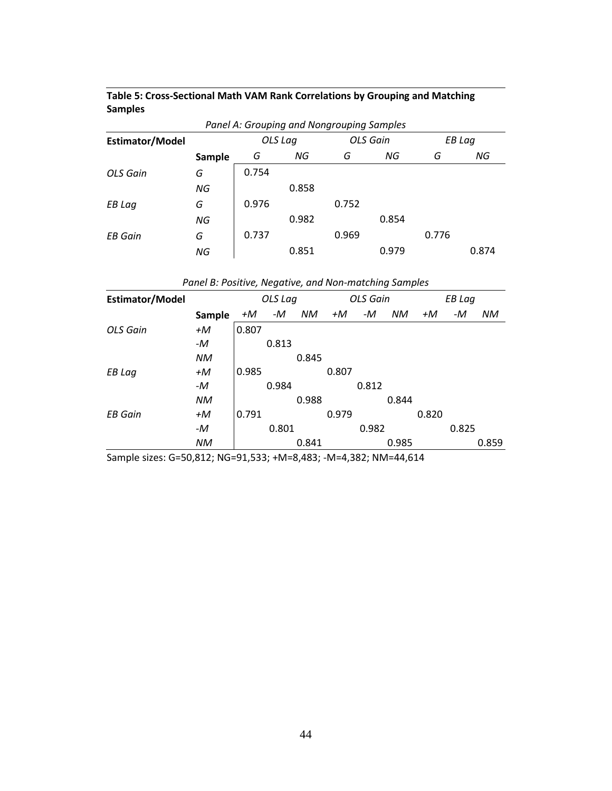| Table 5: Cross-Sectional Math VAM Rank Correlations by Grouping and Matching |  |
|------------------------------------------------------------------------------|--|
| <b>Samples</b>                                                               |  |

| Panel A: Grouping and Nongrouping Samples |        |       |                     |       |       |       |        |  |  |  |
|-------------------------------------------|--------|-------|---------------------|-------|-------|-------|--------|--|--|--|
| <b>Estimator/Model</b>                    |        |       | OLS Gain<br>OLS Lag |       |       |       | EB Lag |  |  |  |
|                                           | Sample | G     | NG                  | G     | NG    | G     | NG     |  |  |  |
| OLS Gain                                  | G      | 0.754 |                     |       |       |       |        |  |  |  |
|                                           | NG     |       | 0.858               |       |       |       |        |  |  |  |
| EB Lag                                    | G      | 0.976 |                     | 0.752 |       |       |        |  |  |  |
|                                           | ΝG     |       | 0.982               |       | 0.854 |       |        |  |  |  |
| <b>EB</b> Gain                            | G      | 0.737 |                     | 0.969 |       | 0.776 |        |  |  |  |
|                                           | ΝG     |       | 0.851               |       | 0.979 |       | 0.874  |  |  |  |

| <b>Estimator/Model</b> |        |       | OLS Lag |       |       | <b>OLS Gain</b> |       |       | <b>EB Lag</b> |           |
|------------------------|--------|-------|---------|-------|-------|-----------------|-------|-------|---------------|-----------|
|                        | Sample | +M    | -M      | NM.   | +M    | -M              | NM.   | +M    | -M            | <b>NM</b> |
| OLS Gain               | +M     | 0.807 |         |       |       |                 |       |       |               |           |
|                        | -M     |       | 0.813   |       |       |                 |       |       |               |           |
|                        | NM     |       |         | 0.845 |       |                 |       |       |               |           |
| EB Lag                 | +M     | 0.985 |         |       | 0.807 |                 |       |       |               |           |
|                        | -M     |       | 0.984   |       |       | 0.812           |       |       |               |           |
|                        | NM     |       |         | 0.988 |       |                 | 0.844 |       |               |           |
| <b>EB</b> Gain         | $+M$   | 0.791 |         |       | 0.979 |                 |       | 0.820 |               |           |
|                        | -M     |       | 0.801   |       |       | 0.982           |       |       | 0.825         |           |
|                        | NM.    |       |         | 0.841 |       |                 | 0.985 |       |               | 0.859     |

Sample sizes: G=50,812; NG=91,533; +M=8,483; -M=4,382; NM=44,614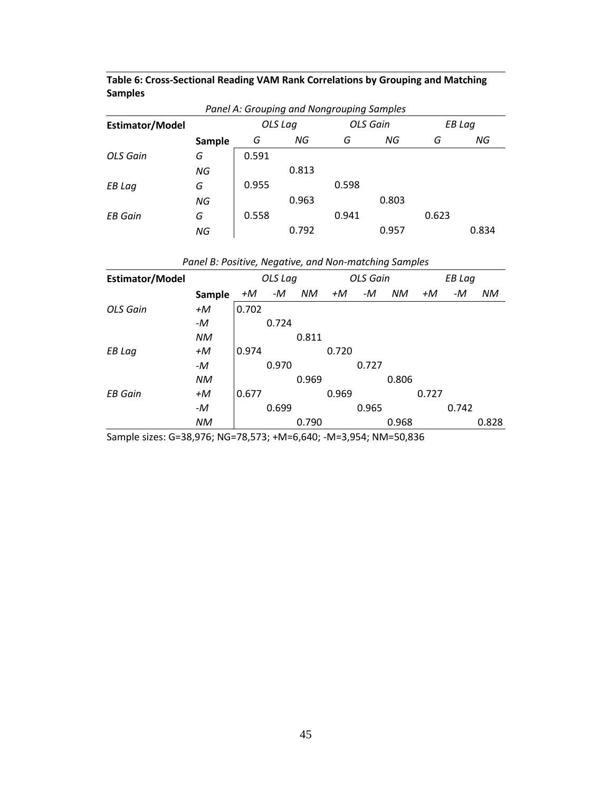| Table 6: Cross-Sectional Reading VAM Rank Correlations by Grouping and Matching |
|---------------------------------------------------------------------------------|
| <b>Samples</b>                                                                  |

| Panel A: Grouping and Nongrouping Samples |        |       |         |       |                 |       |        |  |  |  |
|-------------------------------------------|--------|-------|---------|-------|-----------------|-------|--------|--|--|--|
| Estimator/Model                           |        |       | OLS Lag |       | <b>OLS</b> Gain |       | EB Lag |  |  |  |
|                                           | Sample | G     | NG      | G     | ΝG              | G     | NG     |  |  |  |
| OLS Gain                                  | G      | 0.591 |         |       |                 |       |        |  |  |  |
|                                           | ΝG     |       | 0.813   |       |                 |       |        |  |  |  |
| EB Lag                                    | G      | 0.955 |         | 0.598 |                 |       |        |  |  |  |
|                                           | ΝG     |       | 0.963   |       | 0.803           |       |        |  |  |  |
| <b>EB</b> Gain                            | G      | 0.558 |         | 0.941 |                 | 0.623 |        |  |  |  |
|                                           | ΝG     |       | 0.792   |       | 0.957           |       | 0.834  |  |  |  |

| <b>Estimator/Model</b> |        |       | OLS Lag |       |       | <b>OLS Gain</b> |           |       | <b>EB Lag</b> |           |
|------------------------|--------|-------|---------|-------|-------|-----------------|-----------|-------|---------------|-----------|
|                        | Sample | +M    | -M      | NM    | +M    | -M              | <b>NM</b> | +M    | -M            | <b>NM</b> |
| OLS Gain               | +M     | 0.702 |         |       |       |                 |           |       |               |           |
|                        | -M     |       | 0.724   |       |       |                 |           |       |               |           |
|                        | ΝM     |       |         | 0.811 |       |                 |           |       |               |           |
| EB Lag                 | +M     | 0.974 |         |       | 0.720 |                 |           |       |               |           |
|                        | -M     |       | 0.970   |       |       | 0.727           |           |       |               |           |
|                        | ΝM     |       |         | 0.969 |       |                 | 0.806     |       |               |           |
| <b>EB</b> Gain         | +M     | 0.677 |         |       | 0.969 |                 |           | 0.727 |               |           |
|                        | -M     |       | 0.699   |       |       | 0.965           |           |       | 0.742         |           |
|                        | ΝM     |       |         | 0.790 |       |                 | 0.968     |       |               | 0.828     |

*Panel B: Positive, Negative, and Non-matching Samples*

Sample sizes: G=38,976; NG=78,573; +M=6,640; -M=3,954; NM=50,836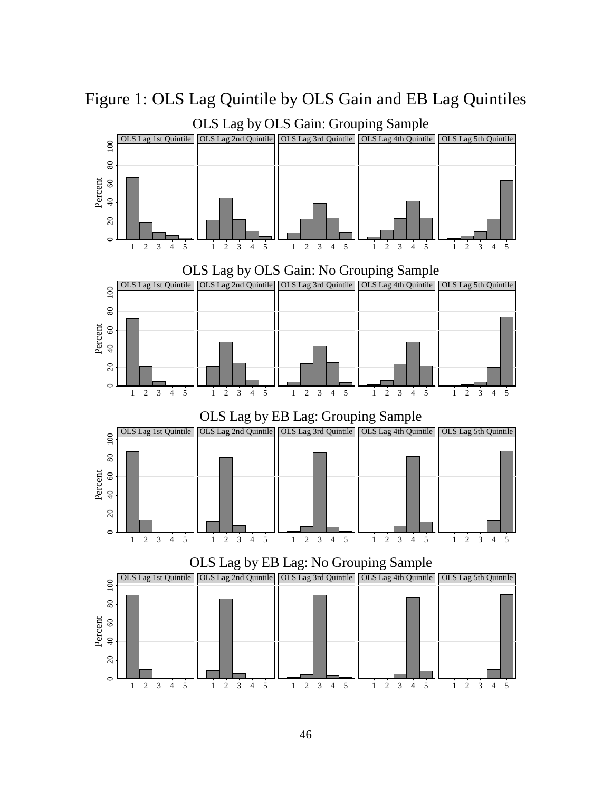

Figure 1: OLS Lag Quintile by OLS Gain and EB Lag Quintiles